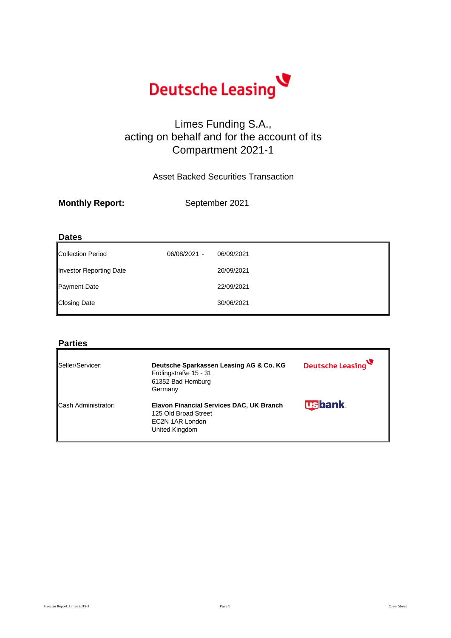

### Limes Funding S.A., acting on behalf and for the account of its Compartment 2021-1

Asset Backed Securities Transaction

| <b>Monthly Report:</b> | September 2021 |
|------------------------|----------------|
|                        |                |

### **Dates**

| 06/08/2021 - | 06/09/2021 |
|--------------|------------|
|              | 20/09/2021 |
|              | 22/09/2021 |
|              | 30/06/2021 |
|              |            |

### **Parties**

| Seller/Servicer:           | Deutsche Sparkassen Leasing AG & Co. KG<br>Frölingstraße 15 - 31<br>61352 Bad Homburg<br>Germany      | Deutsche Leasing |
|----------------------------|-------------------------------------------------------------------------------------------------------|------------------|
| <b>Cash Administrator:</b> | Elavon Financial Services DAC, UK Branch<br>125 Old Broad Street<br>EC2N 1AR London<br>United Kingdom | <b>usbank</b>    |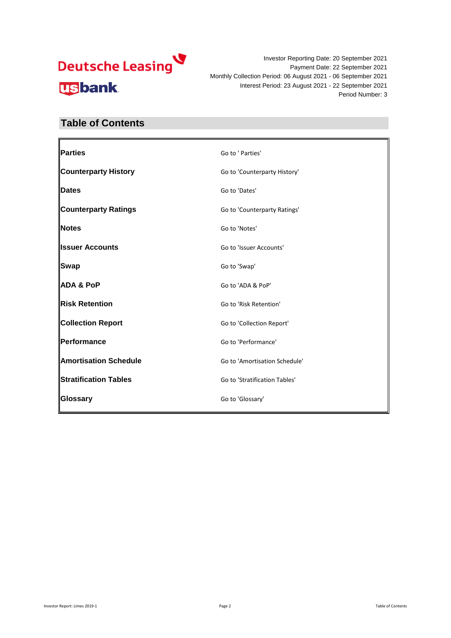

### **Table of Contents**

| Parties                      | Go to ' Parties'              |
|------------------------------|-------------------------------|
| <b>Counterparty History</b>  | Go to 'Counterparty History'  |
| <b>Dates</b>                 | Go to 'Dates'                 |
| <b>Counterparty Ratings</b>  | Go to 'Counterparty Ratings'  |
| Notes                        | Go to 'Notes'                 |
| <b>Issuer Accounts</b>       | Go to 'Issuer Accounts'       |
| Swap                         | Go to 'Swap'                  |
| <b>ADA &amp; PoP</b>         | Go to 'ADA & PoP'             |
| Risk Retention               | Go to 'Risk Retention'        |
| <b>Collection Report</b>     | Go to 'Collection Report'     |
| Performance                  | Go to 'Performance'           |
| <b>Amortisation Schedule</b> | Go to 'Amortisation Schedule' |
| <b>Stratification Tables</b> | Go to 'Stratification Tables' |
| Glossary                     | Go to 'Glossary'              |
|                              |                               |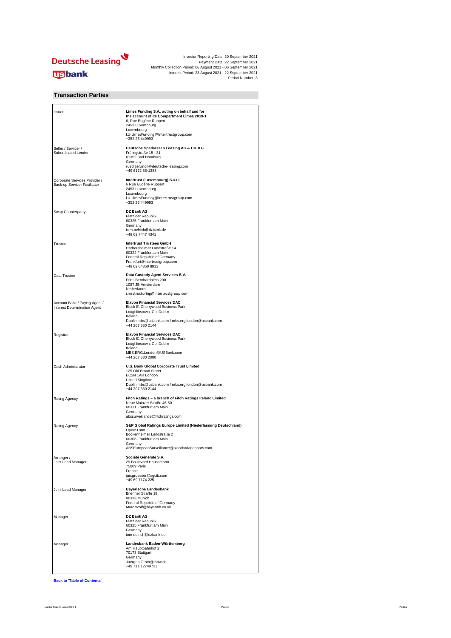

### **Transaction Parties**

| Issuer                                                        | Limes Funding S.A., acting on behalf and for<br>the account of its Compartment Limes 2019-1<br>6, Rue Eugène Ruppert<br>2453 Luxembourg<br>Luxembourg<br>LU-LimesFunding@Intertrustgroup.com<br>+352 26 449993 |
|---------------------------------------------------------------|----------------------------------------------------------------------------------------------------------------------------------------------------------------------------------------------------------------|
| Seller / Servicer /<br>Subordinated Lender                    | Deutsche Sparkassen Leasing AG & Co. KG<br>Frölingstraße 15 - 31<br>61352 Bad Homburg<br>Germany<br>ruediger.moll@deutsche-leasing.com<br>+49 6172 88-1383                                                     |
| Corporate Services Provider /<br>Back-up Servicer Facilitator | Intertrust (Luxembourg) S.a.r.l.<br>6 Rue Eugène Ruppert<br>2453 Luxembourg<br>Luxembourg<br>LU-LimesFunding@Intertrustgroup.com<br>+352 26 449993                                                             |
| Swap Counterparty                                             | DZ Bank AG<br>Platz der Republik<br>60325 Frankfurt am Main<br>Germany<br>tom.oelrich@dzbank.de<br>+49 69 7447 4341                                                                                            |
| Trustee                                                       | <b>Intertrust Trustees GmbH</b><br>Eschersheimer Landstraße 14<br>60322 Frankfurt am Main<br>Federal Republic of Germany<br>Frankfurt@intertrustgroup.com<br>+49 69 64350 8913                                 |
| Data Trustee                                                  | Data Custody Agent Services B.V.<br>Prins Bernhardplein 200<br>1097 JB Amsterdam<br>Netherlands<br>cmsstructuring@intertrustgroup.com                                                                          |
| Account Bank / Paying Agent /<br>Interest Determination Agent | <b>Elavon Financial Services DAC</b><br>Block E, Cherrywood Business Park<br>Loughlinstown, Co. Dublin<br>Ireland<br>Dublin.mbs@usbank.com / mbs.erg.london@usbank.com<br>+44 207 330 2144                     |
| Registrar                                                     | <b>Elavon Financial Services DAC</b><br>Block E, Cherrywood Business Park<br>Loughlinstown, Co. Dublin<br>Ireland<br>MBS.ERG.London@USBank.com<br>+44 207 330 2000                                             |
| Cash Administrator                                            | U.S. Bank Global Corporate Trust Limited<br>125 Old Broad Street<br>EC2N 1AR London<br>United Kingdom<br>Dublin.mbs@usbank.com / mbs.erg.london@usbank.com<br>+44 207 330 2144                                 |
| Rating Agency                                                 | Fitch Ratings - a branch of Fitch Ratings Ireland Limited<br>Neue Mainzer Straße 46-50<br>60311 Frankfurt am Main<br>Germany<br>abssurveillance@fitchratings.com                                               |
| Rating Agency                                                 | S&P Global Ratings Europe Limited (Niederlassung Deutschland)<br>OpernTurm<br>Bockenheimer Landstraße 2<br>60306 Frankfurt am Main<br>Germany<br>ABSEuropeanSurveillance@standardandpoors.com                  |
| Arranger /<br>Joint Lead Manager                              | Société Générale S.A.<br>29 Boulevard Haussmann<br>75009 Paris<br>France<br>jan.groesser@sgcib.com<br>+49 69 7174 225                                                                                          |
| Joint Lead Manager                                            | <b>Bayerische Landesbank</b><br>Brienner Straße 18<br>80333 Munich<br>Federal Republic of Germany<br>Marc.Wolf@bayernlb.co.uk                                                                                  |
| Manager                                                       | DZ Bank AG<br>Platz der Republik<br>60325 Frankfurt am Main<br>Germany<br>tom.oelrich@dzbank.de                                                                                                                |
| Manager                                                       | Landesbank Baden-Württemberg<br>Am Hauptbahnhof 2<br>70173 Stuttgart<br>Germany<br>Juergen.Groth@lbbw.de<br>+49 711 12749721                                                                                   |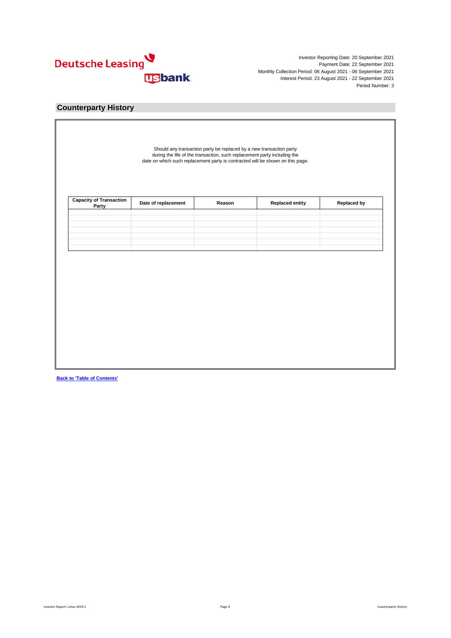

### **Counterparty History**

| Party |  |  |
|-------|--|--|
|       |  |  |
|       |  |  |
|       |  |  |
|       |  |  |
|       |  |  |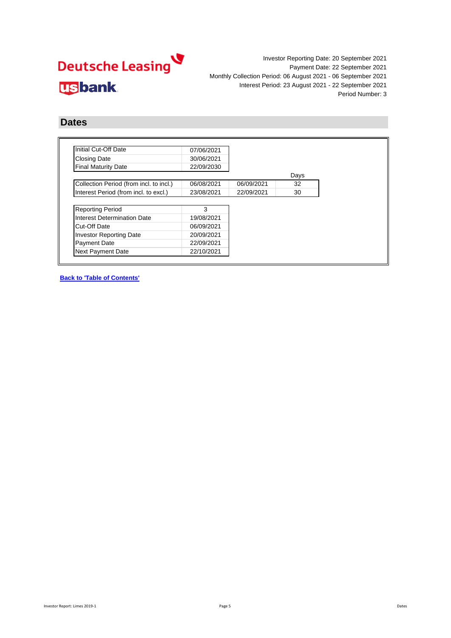

### **Dates**

| Initial Cut-Off Date                    | 07/06/2021 |            |      |
|-----------------------------------------|------------|------------|------|
| <b>Closing Date</b>                     | 30/06/2021 |            |      |
| <b>Final Maturity Date</b>              | 22/09/2030 |            |      |
|                                         |            |            | Days |
| Collection Period (from incl. to incl.) | 06/08/2021 | 06/09/2021 | 32   |
| Interest Period (from incl. to excl.)   | 23/08/2021 | 22/09/2021 | 30   |
|                                         |            |            |      |
| <b>Reporting Period</b>                 | 3          |            |      |
| Interest Determination Date             | 19/08/2021 |            |      |
| Cut-Off Date                            | 06/09/2021 |            |      |
| <b>Investor Reporting Date</b>          | 20/09/2021 |            |      |
|                                         | 22/09/2021 |            |      |
| <b>Payment Date</b>                     |            |            |      |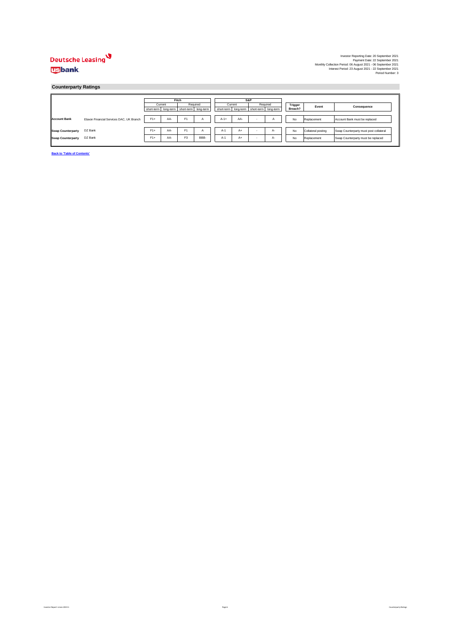### Deutsche Leasing **usbank**

#### **Counterparty Ratings**

|                          |                                          |                                           | Fitch |                |              | S&P    |                                                 |  |          |         |                    |                                        |             |
|--------------------------|------------------------------------------|-------------------------------------------|-------|----------------|--------------|--------|-------------------------------------------------|--|----------|---------|--------------------|----------------------------------------|-------------|
|                          |                                          | Current                                   |       | Required       |              |        | Current                                         |  | Required | Trigger | Event              |                                        | Consequence |
|                          |                                          | short-term long-term short-term long-term |       |                |              |        | short-term   long-term   short-term   long-term |  |          | Breach? |                    |                                        |             |
|                          |                                          |                                           |       |                |              |        |                                                 |  |          |         |                    |                                        |             |
| <b>Account Bank</b>      | Elavon Financial Services DAC, UK Branch | $F1+$                                     | AA-   | F <sub>1</sub> | $\mathsf{A}$ | $A-1+$ | AA-                                             |  |          | No      | Replacement        | Account Bank must be replaced          |             |
|                          |                                          |                                           |       |                |              |        |                                                 |  |          |         |                    |                                        |             |
| <b>Swap Counterparty</b> | DZ Bank                                  | $F1+$                                     | AA-   | F <sub>1</sub> | A            | $A-1$  | $A+$                                            |  | А-       | No      | Collateral posting | Swap Counterparty must post collateral |             |
| <b>Swap Counterparty</b> | DZ Bank                                  | $F1+$                                     | AA-   | F <sub>3</sub> | BBB-         | $A-1$  | $A+$                                            |  | А-       | No      | Replacement        | Swap Counterparty must be replaced     |             |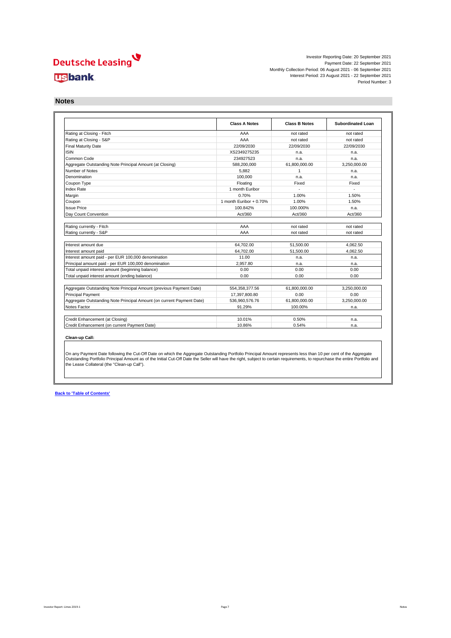## Deutsche Leasing **usbank**

Investor Reporting Date: 20 September 2021 Payment Date: 22 September 2021 Monthly Collection Period: 06 August 2021 - 06 September 2021 Interest Period: 23 August 2021 - 22 September 2021 Period Number: 3

**Notes**

|                                                                                                                                                                                                                    | <b>Class A Notes</b>       | <b>Class B Notes</b> | <b>Subordinated Loan</b> |
|--------------------------------------------------------------------------------------------------------------------------------------------------------------------------------------------------------------------|----------------------------|----------------------|--------------------------|
| Rating at Closing - Fitch                                                                                                                                                                                          | AAA                        | not rated            | not rated                |
| Rating at Closing - S&P                                                                                                                                                                                            | AAA                        | not rated            | not rated                |
| <b>Final Maturity Date</b>                                                                                                                                                                                         | 22/09/2030                 | 22/09/2030           | 22/09/2030               |
| <b>ISIN</b>                                                                                                                                                                                                        | XS2349275235               | n.a.                 | n.a.                     |
| Common Code                                                                                                                                                                                                        | 234927523                  | n.a.                 | n.a.                     |
| Aggregate Outstanding Note Principal Amount (at Closing)                                                                                                                                                           | 588.200.000                | 61.800.000.00        | 3.250.000.00             |
| Number of Notes                                                                                                                                                                                                    | 5.882                      | 1                    | n.a.                     |
| Denomination                                                                                                                                                                                                       | 100.000                    | n.a.                 | n.a.                     |
| Coupon Type                                                                                                                                                                                                        | Floating                   | Fixed                | Fixed                    |
| Index Rate                                                                                                                                                                                                         | 1 month Euribor            |                      |                          |
| Margin                                                                                                                                                                                                             | 0.70%                      | 1.00%                | 1.50%                    |
| Coupon                                                                                                                                                                                                             | 1 month Euribor + $0.70\%$ | 1.00%                | 1.50%                    |
| <b>Issue Price</b>                                                                                                                                                                                                 | 100.842%                   | 100.000%             | n.a.                     |
| Dav Count Convention                                                                                                                                                                                               | Act/360                    | Act/360              | Act/360                  |
|                                                                                                                                                                                                                    |                            |                      |                          |
|                                                                                                                                                                                                                    |                            |                      |                          |
| Rating currently - Fitch                                                                                                                                                                                           | AAA                        | not rated            | not rated                |
| Rating currently - S&P                                                                                                                                                                                             | AAA                        | not rated            | not rated                |
|                                                                                                                                                                                                                    |                            |                      |                          |
|                                                                                                                                                                                                                    | 64.702.00                  | 51,500.00            | 4.062.50                 |
|                                                                                                                                                                                                                    | 64.702.00                  | 51,500.00            | 4.062.50                 |
|                                                                                                                                                                                                                    | 11.00                      | n.a.                 | n.a.                     |
| Interest amount due<br>Interest amount paid<br>Interest amount paid - per EUR 100,000 denomination<br>Principal amount paid - per EUR 100,000 denomination                                                         | 2.957.80                   | n.a.                 | n.a.                     |
| Total unpaid interest amount (beginning balance)                                                                                                                                                                   | 0.00                       | 0.00                 | 0.00                     |
|                                                                                                                                                                                                                    | 0.00                       | 0.00                 | 0.00                     |
|                                                                                                                                                                                                                    | 554,358,377.56             | 61,800,000.00        | 3,250,000.00             |
|                                                                                                                                                                                                                    | 17.397.800.80              | 0.00                 | 0.00                     |
| Total unpaid interest amount (ending balance)<br>Aggregate Outstanding Note Principal Amount (previous Payment Date)<br>Principal Payment<br>Aggregate Outstanding Note Principal Amount (on current Payment Date) | 536,960,576.76             | 61,800,000.00        | 3,250,000.00             |
| Notes Factor                                                                                                                                                                                                       | 91.29%                     | 100.00%              | n.a.                     |
| Credit Enhancement (at Closing)                                                                                                                                                                                    | 10.01%                     | 0.50%                | n.a.                     |

On any Payment Date following the Cut-Off Date on which the Aggregate Outstanding Portfolio Principal Amount represents less than 10 per cent of the Aggregate<br>Outstanding Portfolio Principal Amount as of the Initial Cut-O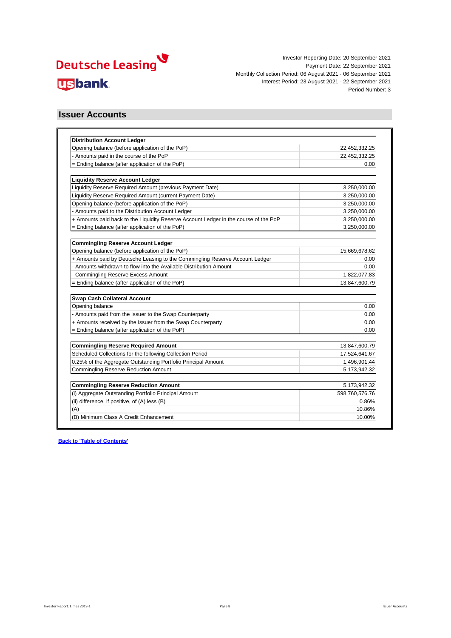

### **Issuer Accounts**

| <b>Distribution Account Ledger</b>                                                   |                |
|--------------------------------------------------------------------------------------|----------------|
| Opening balance (before application of the PoP)                                      | 22,452,332.25  |
| - Amounts paid in the course of the PoP                                              | 22,452,332.25  |
| = Ending balance (after application of the PoP)                                      | 0.00           |
| <b>Liquidity Reserve Account Ledger</b>                                              |                |
| Liquidity Reserve Required Amount (previous Payment Date)                            | 3,250,000.00   |
| Liquidity Reserve Required Amount (current Payment Date)                             | 3,250,000.00   |
| Opening balance (before application of the PoP)                                      | 3,250,000.00   |
| - Amounts paid to the Distribution Account Ledger                                    | 3,250,000.00   |
| + Amounts paid back to the Liquidity Reserve Account Ledger in the course of the PoP | 3,250,000.00   |
| = Ending balance (after application of the PoP)                                      | 3,250,000.00   |
|                                                                                      |                |
| <b>Commingling Reserve Account Ledger</b>                                            |                |
| Opening balance (before application of the PoP)                                      | 15,669,678.62  |
| + Amounts paid by Deutsche Leasing to the Commingling Reserve Account Ledger         | 0.00           |
| Amounts withdrawn to flow into the Available Distribution Amount                     | 0.00           |
| <b>Commingling Reserve Excess Amount</b>                                             | 1,822,077.83   |
| = Ending balance (after application of the PoP)                                      | 13,847,600.79  |
| Swap Cash Collateral Account                                                         |                |
| Opening balance                                                                      | 0.00           |
| - Amounts paid from the Issuer to the Swap Counterparty                              | 0.00           |
| + Amounts received by the Issuer from the Swap Counterparty                          | 0.00           |
| = Ending balance (after application of the PoP)                                      | 0.00           |
| <b>Commingling Reserve Required Amount</b>                                           | 13,847,600.79  |
| Scheduled Collections for the following Collection Period                            | 17,524,641.67  |
| 0.25% of the Aggregate Outstanding Portfolio Principal Amount                        | 1,496,901.44   |
| <b>Commingling Reserve Reduction Amount</b>                                          | 5,173,942.32   |
|                                                                                      |                |
| <b>Commingling Reserve Reduction Amount</b>                                          | 5,173,942.32   |
| (i) Aggregate Outstanding Portfolio Principal Amount                                 | 598,760,576.76 |
| (ii) difference, if positive, of (A) less (B)                                        | 0.86%          |
| (A)                                                                                  | 10.86%         |
| (B) Minimum Class A Credit Enhancement                                               | 10.00%         |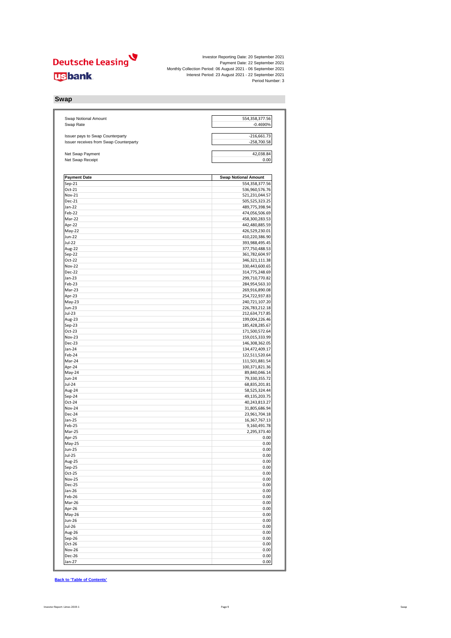

**Swap**

| Swap Notional Amount<br>Swap Rate                                          | 554,358,377.56<br>$-0.4690%$     |
|----------------------------------------------------------------------------|----------------------------------|
|                                                                            |                                  |
| Issuer pays to Swap Counterparty<br>Issuer receives from Swap Counterparty | $-216,661.73$<br>-258,700.58     |
| Net Swap Payment                                                           | 42,038.84                        |
| Net Swap Receipt                                                           | 0.00                             |
| <b>Payment Date</b>                                                        | <b>Swap Notional Amount</b>      |
| $Sep-21$                                                                   | 554,358,377.56                   |
| Oct-21                                                                     | 536,960,576.76                   |
| Nov-21                                                                     | 521,231,044.57                   |
| Dec-21                                                                     | 505,525,323.25                   |
| Jan-22                                                                     | 489,775,398.94                   |
| Feb-22                                                                     | 474,056,506.69                   |
| Mar-22                                                                     | 458,300,283.53                   |
| Apr-22<br>May-22                                                           | 442,480,885.59<br>426,529,230.01 |
| Jun-22                                                                     | 410,220,386.90                   |
| Jul-22                                                                     | 393,988,495.45                   |
| Aug-22                                                                     | 377,750,488.53                   |
| Sep-22                                                                     | 361,782,604.97                   |
| Oct-22                                                                     | 346, 321, 111. 38                |
| <b>Nov-22</b>                                                              | 330,443,600.65                   |
| Dec-22                                                                     | 314,775,248.69                   |
| Jan-23                                                                     | 299,710,770.82                   |
| Feb-23                                                                     | 284,954,563.10                   |
| Mar-23                                                                     | 269,916,890.08                   |
| Apr-23                                                                     | 254,722,937.83                   |
| May-23                                                                     | 240,721,107.20                   |
| Jun-23                                                                     | 226,783,212.18                   |
| Jul-23                                                                     | 212,634,717.85                   |
| Aug-23<br>$Sep-23$                                                         | 199,004,226.46                   |
| Oct-23                                                                     | 185,428,285.67<br>171,500,572.64 |
| Nov-23                                                                     | 159,015,333.99                   |
| <b>Dec-23</b>                                                              | 146,308,362.05                   |
| Jan-24                                                                     | 134,472,409.17                   |
| Feb-24                                                                     | 122,511,520.64                   |
| Mar-24                                                                     | 111,501,881.54                   |
| Apr-24                                                                     | 100,371,821.36                   |
| May-24                                                                     | 89,840,046.14                    |
| Jun-24                                                                     | 79,330,355.72                    |
| Jul-24                                                                     | 68,835,201.81                    |
| Aug-24                                                                     | 58,525,324.44                    |
| Sep-24                                                                     | 49,135,203.75                    |
| Oct-24                                                                     | 40,243,813.27                    |
| <b>Nov-24</b><br>Dec-24                                                    | 31,805,686.94<br>23,961,704.18   |
| Jan-25                                                                     | 16,367,767.13                    |
| Feb-25                                                                     | 9,160,491.78                     |
| Mar-25                                                                     | 2,295,373.40                     |
| Apr-25                                                                     | 0.00                             |
| May-25                                                                     | 0.00                             |
| Jun-25                                                                     | 0.00                             |
| <b>Jul-25</b>                                                              | 0.00                             |
| Aug-25                                                                     | 0.00                             |
| Sep-25                                                                     | 0.00                             |
| $Oct-25$                                                                   | 0.00                             |
| <b>Nov-25</b>                                                              | 0.00                             |
| <b>Dec-25</b>                                                              | 0.00                             |
| Jan-26                                                                     | 0.00                             |
| Feb-26<br>Mar-26                                                           | 0.00<br>0.00                     |
| Apr-26                                                                     | 0.00                             |
| May-26                                                                     | 0.00                             |
| Jun-26                                                                     | 0.00                             |
| Jul-26                                                                     | 0.00                             |
| Aug-26                                                                     | 0.00                             |
| Sep-26                                                                     | 0.00                             |
| Oct-26                                                                     | 0.00                             |
| <b>Nov-26</b>                                                              | 0.00                             |
| Dec-26                                                                     | 0.00                             |
| Jan-27                                                                     | 0.00                             |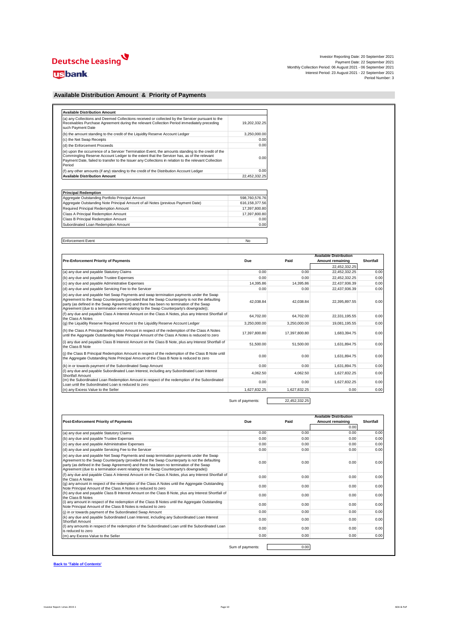# Deutsche Leasing

### **usbank**

| Investor Reporting Date: 20 September 2021                    |
|---------------------------------------------------------------|
| Payment Date: 22 September 2021                               |
| Monthly Collection Period: 06 August 2021 - 06 September 2021 |
| Interest Period: 23 August 2021 - 22 September 2021           |
| Period Number: 3                                              |

### **Available Distribution Amount & Priority of Payments**

| (a) any Collections and Deemed Collections received or collected by the Servicer pursuant to the<br>Receivables Purchase Agreement during the relevant Collection Period immediately preceding<br>such Payment Date                                                                                                 | 19.202.332.25 |
|---------------------------------------------------------------------------------------------------------------------------------------------------------------------------------------------------------------------------------------------------------------------------------------------------------------------|---------------|
| (b) the amount standing to the credit of the Liquidity Reserve Account Ledger                                                                                                                                                                                                                                       | 3,250,000.00  |
| (c) the Net Swap Receipts                                                                                                                                                                                                                                                                                           | 0.00          |
| (d) the Enforcement Proceeds                                                                                                                                                                                                                                                                                        | 0.00          |
| (e) upon the occurrence of a Servicer Termination Event, the amounts standing to the credit of the<br>Commingling Reserve Account Ledger to the extent that the Servicer has, as of the relevant<br>Payment Date, failed to transfer to the Issuer any Collections in relation to the relevant Collection<br>Period | 0.00          |
| (f) any other amounts (if any) standing to the credit of the Distribution Account Ledger                                                                                                                                                                                                                            | 0.00          |
| <b>Available Distribution Amount</b>                                                                                                                                                                                                                                                                                | 22,452,332.25 |

| <b>Principal Redemption</b>                                                      |                |  |  |  |  |  |  |  |
|----------------------------------------------------------------------------------|----------------|--|--|--|--|--|--|--|
| Aggregate Outstanding Portfolio Principal Amount                                 | 598.760.576.76 |  |  |  |  |  |  |  |
| Aggregate Outstanding Note Principal Amount of all Notes (previous Payment Date) | 616.158.377.56 |  |  |  |  |  |  |  |
| Required Principal Redemption Amount                                             | 17.397.800.80  |  |  |  |  |  |  |  |
| Class A Principal Redemption Amount                                              | 17.397.800.80  |  |  |  |  |  |  |  |
| Class B Principal Redemption Amount                                              | 0.00           |  |  |  |  |  |  |  |
| Subordinated Loan Redemption Amount                                              | 0.00           |  |  |  |  |  |  |  |

Enforcement Event No

|                                                                                                                                                                                                                                                                                                                                                                             |               |               | <b>Available Distribution</b> |           |
|-----------------------------------------------------------------------------------------------------------------------------------------------------------------------------------------------------------------------------------------------------------------------------------------------------------------------------------------------------------------------------|---------------|---------------|-------------------------------|-----------|
| <b>Pre-Enforcement Priority of Payments</b>                                                                                                                                                                                                                                                                                                                                 | Due           | Paid          | Amount remaining              | Shortfall |
|                                                                                                                                                                                                                                                                                                                                                                             |               |               | 22.452.332.25                 |           |
| (a) any due and payable Statutory Claims                                                                                                                                                                                                                                                                                                                                    | 0.00          | 0.00          | 22,452,332.25                 | 0.00      |
| (b) any due and payable Trustee Expenses                                                                                                                                                                                                                                                                                                                                    | 0.00          | 0.00          | 22,452,332.25                 | 0.00      |
| (c) any due and payable Administrative Expenses                                                                                                                                                                                                                                                                                                                             | 14.395.86     | 14.395.86     | 22,437,936.39                 | 0.00      |
| (d) any due and payable Servicing Fee to the Servicer                                                                                                                                                                                                                                                                                                                       | 0.00          | 0.00          | 22.437.936.39                 | 0.00      |
| (e) any due and payable Net Swap Payments and swap termination payments under the Swap<br>Agreement to the Swap Counterparty (provided that the Swap Counterparty is not the defaulting<br>party (as defined in the Swap Agreement) and there has been no termination of the Swap<br>Agreement (due to a termination event relating to the Swap Counterparty's downgrade)); | 42.038.84     | 42.038.84     | 22,395,897.55                 | 0.00      |
| (f) any due and payable Class A Interest Amount on the Class A Notes, plus any Interest Shortfall of<br>the Class A Notes                                                                                                                                                                                                                                                   | 64.702.00     | 64.702.00     | 22,331,195.55                 | 0.00      |
| (q) the Liquidity Reserve Required Amount to the Liquidity Reserve Account Ledger                                                                                                                                                                                                                                                                                           | 3.250.000.00  | 3.250.000.00  | 19,081,195.55                 | 0.00      |
| (h) the Class A Principal Redemption Amount in respect of the redemption of the Class A Notes<br>until the Aggregate Outstanding Note Principal Amount of the Class A Notes is reduced to zero                                                                                                                                                                              | 17.397.800.80 | 17.397.800.80 | 1,683,394.75                  | 0.00      |
| (i) any due and payable Class B Interest Amount on the Class B Note, plus any Interest Shortfall of<br>the Class B Note                                                                                                                                                                                                                                                     | 51.500.00     | 51.500.00     | 1,631,894.75                  | 0.00      |
| (i) the Class B Principal Redemption Amount in respect of the redemption of the Class B Note until<br>the Aggregate Outstanding Note Principal Amount of the Class B Note is reduced to zero                                                                                                                                                                                | 0.00          | 0.00          | 1,631,894.75                  | 0.00      |
| (k) in or towards payment of the Subordinated Swap Amount                                                                                                                                                                                                                                                                                                                   | 0.00          | 0.00          | 1.631.894.75                  | 0.00      |
| (I) any due and payable Subordinated Loan Interest, including any Subordinated Loan Interest<br>Shortfall Amount                                                                                                                                                                                                                                                            | 4.062.50      | 4.062.50      | 1,627,832.25                  | 0.00      |
| (m) the Subordinated Loan Redemption Amount in respect of the redemption of the Subordinated<br>Loan until the Subordinated Loan is reduced to zero.                                                                                                                                                                                                                        | 0.00          | 0.00          | 1,627,832.25                  | 0.00      |
| (n) any Excess Value to the Seller                                                                                                                                                                                                                                                                                                                                          | 1.627.832.25  | 1.627.832.25  | 0.00                          | 0.00      |

Sum of payments: 22,452,332.25

| <b>Post-Enforcement Priority of Payments</b>                                                                                                                                                                                                                                                                                                                               | Due              | Paid | <b>Available Distribution</b><br>Amount remaining | Shortfall |
|----------------------------------------------------------------------------------------------------------------------------------------------------------------------------------------------------------------------------------------------------------------------------------------------------------------------------------------------------------------------------|------------------|------|---------------------------------------------------|-----------|
|                                                                                                                                                                                                                                                                                                                                                                            |                  |      | 0.00                                              |           |
| (a) any due and payable Statutory Claims                                                                                                                                                                                                                                                                                                                                   | 0.00             | 0.00 | 0.00                                              | 0.00      |
| (b) any due and payable Trustee Expenses                                                                                                                                                                                                                                                                                                                                   | 0.00             | 0.00 | 0.00                                              | 0.00      |
| (c) any due and payable Administrative Expenses                                                                                                                                                                                                                                                                                                                            | 0.00             | 0.00 | 0.00                                              | 0.00      |
| (d) any due and payable Servicing Fee to the Servicer                                                                                                                                                                                                                                                                                                                      | 0.00             | 0.00 | 0.00                                              | 0.00      |
| (e) any due and payable Net Swap Payments and swap termination payments under the Swap<br>Agreement to the Swap Counterparty (provided that the Swap Counterparty is not the defaulting<br>party (as defined in the Swap Agreement) and there has been no termination of the Swap<br>Agreement (due to a termination event relating to the Swap Counterparty's downgrade)) | 0.00             | 0.00 | 0.00                                              | 0.00      |
| (f) any due and payable Class A Interest Amount on the Class A Notes, plus any Interest Shortfall of<br>the Class A Notes                                                                                                                                                                                                                                                  | 0.00             | 0.00 | 0.00                                              | 0.00      |
| (q) any amount in respect of the redemption of the Class A Notes until the Aggregate Outstanding<br>Note Principal Amount of the Class A Notes is reduced to zero                                                                                                                                                                                                          | 0.00             | 0.00 | 0.00                                              | 0.00      |
| (h) any due and payable Class B Interest Amount on the Class B Note, plus any Interest Shortfall of<br>the Class B Notes                                                                                                                                                                                                                                                   | 0.00             | 0.00 | 0.00                                              | 0.00      |
| (i) any amount in respect of the redemption of the Class B Notes until the Aggregate Outstanding<br>Note Principal Amount of the Class B Notes is reduced to zero                                                                                                                                                                                                          | 0.00             | 0.00 | 0.00                                              | 0.00      |
| (i) in or towards payment of the Subordinated Swap Amount                                                                                                                                                                                                                                                                                                                  | 0.00             | 0.00 | 0.00                                              | 0.00      |
| (k) any due and payable Subordinated Loan Interest, including any Subordinated Loan Interest<br>Shortfall Amount                                                                                                                                                                                                                                                           | 0.00             | 0.00 | 0.00                                              | 0.00      |
| (I) any amounts in respect of the redemption of the Subordinated Loan until the Subordinated Loan<br>is reduced to zero.                                                                                                                                                                                                                                                   | 0.00             | 0.00 | 0.00                                              | 0.00      |
| (m) any Excess Value to the Seller                                                                                                                                                                                                                                                                                                                                         | 0.00             | 0.00 | 0.00                                              | 0.00      |
|                                                                                                                                                                                                                                                                                                                                                                            |                  |      |                                                   |           |
|                                                                                                                                                                                                                                                                                                                                                                            | Sum of payments: | 0.00 |                                                   |           |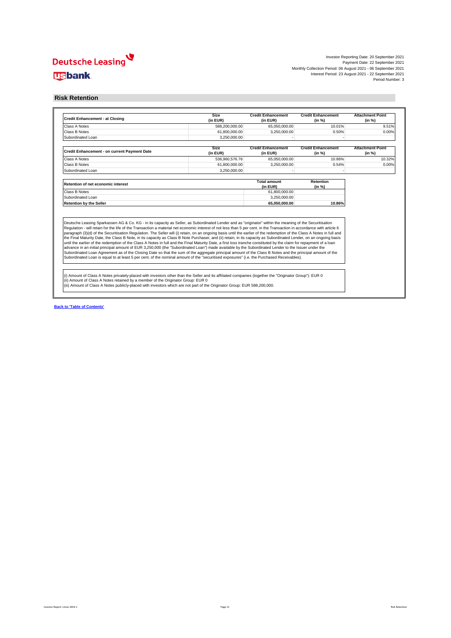## Deutsche Leasing **usbank**

Investor Reporting Date: 20 September 2021 Payment Date: 22 September 2021 Monthly Collection Period: 06 August 2021 - 06 September 2021 Interest Period: 23 August 2021 - 22 September 2021 Period Number: 3

### **Risk Retention**

| <b>Credit Enhancement - at Closing</b>                                                                                                                                                                                                                                                                                                                                                                                                                                                                                                                                                                                                                                              | <b>Size</b><br>(in EUR) | <b>Credit Enhancement</b><br>(in EUR) | <b>Credit Enhancement</b><br>(in %) | <b>Attachment Point</b><br>(in %) |
|-------------------------------------------------------------------------------------------------------------------------------------------------------------------------------------------------------------------------------------------------------------------------------------------------------------------------------------------------------------------------------------------------------------------------------------------------------------------------------------------------------------------------------------------------------------------------------------------------------------------------------------------------------------------------------------|-------------------------|---------------------------------------|-------------------------------------|-----------------------------------|
| Class A Notes                                                                                                                                                                                                                                                                                                                                                                                                                                                                                                                                                                                                                                                                       | 588,200,000.00          | 65,050,000.00                         | 10.01%                              | 9.51%                             |
| Class B Notes                                                                                                                                                                                                                                                                                                                                                                                                                                                                                                                                                                                                                                                                       | 61,800,000.00           | 3.250.000.00                          | 0.50%                               | 0.00%                             |
| Subordinated Loan                                                                                                                                                                                                                                                                                                                                                                                                                                                                                                                                                                                                                                                                   | 3.250.000.00            |                                       |                                     |                                   |
| Credit Enhancement - on current Payment Date                                                                                                                                                                                                                                                                                                                                                                                                                                                                                                                                                                                                                                        | Size<br>(in EUR)        | <b>Credit Enhancement</b><br>(in EUR) | <b>Credit Enhancement</b><br>(in %) | <b>Attachment Point</b><br>(in %) |
| Class A Notes                                                                                                                                                                                                                                                                                                                                                                                                                                                                                                                                                                                                                                                                       | 536.960.576.76          | 65,050,000.00                         | 10.86%                              | 10.32%                            |
| Class B Notes                                                                                                                                                                                                                                                                                                                                                                                                                                                                                                                                                                                                                                                                       | 61,800,000.00           | 3,250,000.00                          | 0.54%                               | 0.00%                             |
| Subordinated Loan                                                                                                                                                                                                                                                                                                                                                                                                                                                                                                                                                                                                                                                                   | 3.250.000.00            |                                       |                                     |                                   |
| Retention of net economic interest                                                                                                                                                                                                                                                                                                                                                                                                                                                                                                                                                                                                                                                  |                         | <b>Total amount</b><br>(in EUR)       | Retention<br>(in %)                 |                                   |
| Class B Notes                                                                                                                                                                                                                                                                                                                                                                                                                                                                                                                                                                                                                                                                       |                         | 61,800,000.00                         |                                     |                                   |
| Subordinated Loan                                                                                                                                                                                                                                                                                                                                                                                                                                                                                                                                                                                                                                                                   |                         | 3.250.000.00                          |                                     |                                   |
| <b>Retention by the Seller</b>                                                                                                                                                                                                                                                                                                                                                                                                                                                                                                                                                                                                                                                      |                         | 65.050.000.00                         | 10.86%                              |                                   |
| Deutsche Leasing Sparkassen AG & Co. KG - in its capacity as Seller, as Subordinated Lender and as "originator" within the meaning of the Securitisation<br>Regulation - will retain for the life of the Transaction a material net economic interest of not less than 5 per cent. in the Transaction in accordance with article 6<br>paragraph (3)(d) of the Securitisation Regulation. The Seller will (i) retain, on an ongoing basis until the earlier of the redemption of the Class A Notes in full and<br>the Final Maturity Date, the Class B Note, in its capacity as Class B Note Purchaser, and (ii) retain, in its capacity as Subordinated Lender, on an ongoing basis |                         |                                       |                                     |                                   |
| until the earlier of the redemption of the Class A Notes in full and the Final Maturity Date, a first loss tranche constituted by the claim for repayment of a loan<br>advance in an initial principal amount of EUR 3,250,000 (the "Subordinated Loan") made available by the Subordinated Lender to the Issuer under the<br>Subordinated Loan Agreement as of the Closing Date so that the sum of the aggregate principal amount of the Class B Notes and the principal amount of the<br>Subordinated Loan is equal to at least 5 per cent. of the nominal amount of the "securitised exposures" (i.e. the Purchased Receivables).                                                |                         |                                       |                                     |                                   |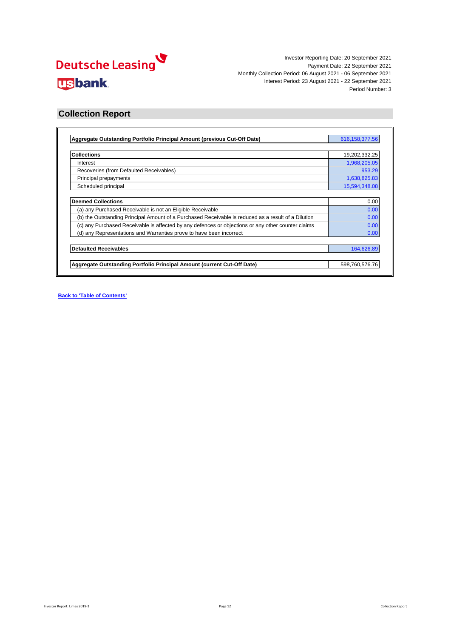

### **Collection Report**

| Aggregate Outstanding Portfolio Principal Amount (previous Cut-Off Date)                            | 616, 158, 377.56 |
|-----------------------------------------------------------------------------------------------------|------------------|
|                                                                                                     |                  |
| <b>Collections</b>                                                                                  | 19,202,332.25    |
| Interest                                                                                            | 1,968,205.05     |
| Recoveries (from Defaulted Receivables)                                                             | 953.29           |
| Principal prepayments                                                                               | 1,638,825.83     |
| Scheduled principal                                                                                 | 15,594,348.08    |
|                                                                                                     |                  |
| <b>Deemed Collections</b>                                                                           | 0.00             |
| (a) any Purchased Receivable is not an Eligible Receivable                                          | 0.00             |
| (b) the Outstanding Principal Amount of a Purchased Receivable is reduced as a result of a Dilution | 0.00             |
| (c) any Purchased Receivable is affected by any defences or objections or any other counter claims  | 0.00             |
| (d) any Representations and Warranties prove to have been incorrect                                 | 0.00             |
| <b>Defaulted Receivables</b>                                                                        | 164,626.89       |
|                                                                                                     |                  |
| Aggregate Outstanding Portfolio Principal Amount (current Cut-Off Date)                             | 598,760,576.76   |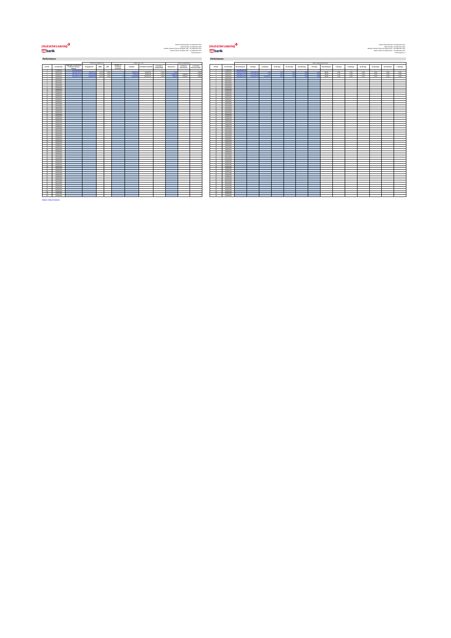# <mark>V</mark><br>الاتصاد السلطان<br>المسلم

Investor Reporting Date: 20 September 2021 Investor Reporting Date: 20 September 2021 Payment Date: 22 September 2021 Payment Date: 22 September 2021 Monthly Collection Period: 06 August 2021 - 06 September 2021 Monthly Collection Period: 06 August 2021 - 06 September 2021 Interest Period: 23 August 2021 - 22 September 2021 Interest Period: 23 August 2021 - 22 September 2021 Period Number: 3 Period Number: 3

| Performance                                 |                               |                                                                 |                             |                |                |                                    |                    |                           |                                   |                   |                          |                             | Performance                   |                                |                                     |              |                     |            |             |              |              |               |
|---------------------------------------------|-------------------------------|-----------------------------------------------------------------|-----------------------------|----------------|----------------|------------------------------------|--------------------|---------------------------|-----------------------------------|-------------------|--------------------------|-----------------------------|-------------------------------|--------------------------------|-------------------------------------|--------------|---------------------|------------|-------------|--------------|--------------|---------------|
|                                             |                               |                                                                 |                             | PREPAYMENTS    |                |                                    |                    | <b>DEFAULTS</b>           |                                   |                   | RECOVERIES               |                             |                               |                                |                                     |              |                     |            |             |              |              | DELINQUENCIE: |
| Period                                      | Cut-Off Date                  | Appregate Outstanding<br>Portfolio Principal<br><b>American</b> | Progayments                 | SMM            | CPR.           | Number of<br>Defaulted<br>Contract | <b>Detaults</b>    | <b>Cumulative Default</b> | Cumulative<br><b>Default Rate</b> | <b>Recoveries</b> | Cumulative<br>Recoveries | Cumulative<br>Recovery Rate | Period                        | Cus-Off Date                   | Not delinquent                      | 1-30 days    | 21-60 days          | 61-90 days | 91-120 days | 121-150 days | $> 150$ days | Not delig     |
|                                             | 0706/2021                     | <b>CAS GOS GOS S</b>                                            |                             |                |                |                                    |                    |                           |                                   |                   |                          |                             |                               | 07/06/2021                     |                                     |              |                     |            |             |              |              |               |
|                                             | 06/07/2021                    | 4/4 6/4 268 26                                                  | w m                         | 0.07%          | oathy          |                                    |                    | 56,697.09                 | Adm                               |                   |                          | 0.00%                       |                               | 06/07/2021                     |                                     | <b>COLOR</b> |                     |            |             |              |              | 99.6          |
| $\mathbf{z}$<br>$\sim$                      | 06/08/2021<br>06/09/2021      | 616.158.377.56<br><b>CAR 7AM CHE 7A</b>                         | 1,792,5241<br>$-1.00000000$ | 0.27%<br>0.92% | 3.22%<br>9.95% |                                    | \$203.2<br>104,000 | 66,080.39<br>230,707.28   | didn's<br>A Auto                  | 100000            | 3,869.58<br>4,822.87     | 5.80%<br>2.099              | $\hat{z}$                     | 09/08/2021<br>06/09/2021       | 6138062172<br><b>Call Add + Vox</b> | 2.272.160.36 | ×<br><b>CAN ANA</b> |            |             |              | 600          | 99.6<br>99.6  |
|                                             | 06/10/2021                    |                                                                 |                             |                |                |                                    |                    |                           |                                   |                   |                          |                             | $\overline{A}$                | 09/10/2021                     |                                     |              |                     |            |             |              |              |               |
| $\sim$                                      | 06/11/2021                    |                                                                 |                             |                |                |                                    |                    |                           |                                   |                   |                          |                             | $\epsilon$                    | 09112021                       |                                     |              |                     |            |             |              |              |               |
|                                             | 06/12/2021                    |                                                                 |                             |                |                |                                    |                    |                           |                                   |                   |                          |                             |                               | 09/12/2021                     |                                     |              |                     |            |             |              |              |               |
| $\mathbf{v}$                                | 06/01/2022                    |                                                                 |                             |                |                |                                    |                    |                           |                                   |                   |                          |                             |                               | 06/01/2022                     |                                     |              |                     |            |             |              |              |               |
| $\ddot{\phantom{a}}$                        | 06/02/2022                    |                                                                 |                             |                |                |                                    |                    |                           |                                   |                   |                          |                             | $\sim$                        | 06/02/2022                     |                                     |              |                     |            |             |              |              |               |
| 10                                          | 06/03/2022<br>06/06/2022      |                                                                 |                             |                |                |                                    |                    |                           |                                   |                   |                          |                             | $50 -$                        | 06/03/2022<br>06/04/2022       |                                     |              |                     |            |             |              |              |               |
| $\overline{11}$                             | nuscion                       |                                                                 |                             |                |                |                                    |                    |                           |                                   |                   |                          |                             | $\overline{\phantom{a}}$      | nunctions.                     |                                     |              |                     |            |             |              |              |               |
| $\mathbf{e}$                                | nemerance.                    |                                                                 |                             |                |                |                                    |                    |                           |                                   |                   |                          |                             | 42                            | nunctions.                     |                                     |              |                     |            |             |              |              |               |
| $12 -$                                      | ourchass:                     |                                                                 |                             |                |                |                                    |                    |                           |                                   |                   |                          |                             | 12                            | 06/07/2022                     |                                     |              |                     |            |             |              |              |               |
| $\overline{14}$<br>$\overline{\phantom{a}}$ | 06/08/2022                    |                                                                 |                             |                |                |                                    |                    |                           |                                   |                   |                          |                             | 54<br>45                      | 06/08/2022                     |                                     |              |                     |            |             |              |              |               |
| 16                                          | 06/09/2022<br>06/10/2022      |                                                                 |                             |                |                |                                    |                    |                           |                                   |                   |                          |                             | 19                            | 06/09/2022<br>09/10/2022       |                                     |              |                     |            |             |              |              |               |
| 17                                          | 06/11/2022                    |                                                                 |                             |                |                |                                    |                    |                           |                                   |                   |                          |                             | 17                            | 09/11/2022                     |                                     |              |                     |            |             |              |              |               |
| 18                                          | 06/12/2022                    |                                                                 |                             |                |                |                                    |                    |                           |                                   |                   |                          |                             | 18                            | 09/12/2022                     |                                     |              |                     |            |             |              |              |               |
| 19                                          | 06/01/2023                    |                                                                 |                             |                |                |                                    |                    |                           |                                   |                   |                          |                             | 29                            | 06/01/2023                     |                                     |              |                     |            |             |              |              |               |
|                                             | 06/02/2023                    |                                                                 |                             |                |                |                                    |                    |                           |                                   |                   |                          |                             | A6                            | constraints                    |                                     |              |                     |            |             |              |              |               |
| $^{2+}$<br>14                               | numeros                       |                                                                 |                             |                |                |                                    |                    |                           |                                   |                   |                          |                             | $^{44}$<br>$\sim$             | numeros                        |                                     |              |                     |            |             |              |              |               |
| A6                                          | 06/06/2023<br>06/05/2022      |                                                                 |                             |                |                |                                    |                    |                           |                                   |                   |                          |                             | $^{22}$                       | 06/04/2023<br>06052023         |                                     |              |                     |            |             |              |              |               |
| 24                                          | 06/06/2023                    |                                                                 |                             |                |                |                                    |                    |                           |                                   |                   |                          |                             | 24                            | 06/06/2023                     |                                     |              |                     |            |             |              |              |               |
| $^{26}$                                     | ourcrosss                     |                                                                 |                             |                |                |                                    |                    |                           |                                   |                   |                          |                             | 26                            | 06/07/2023                     |                                     |              |                     |            |             |              |              |               |
| $\sim$                                      | 06/08/2023                    |                                                                 |                             |                |                |                                    |                    |                           |                                   |                   |                          |                             | $\sim$                        | 06/06/2023                     |                                     |              |                     |            |             |              |              |               |
| 27                                          | 06/09/2023                    |                                                                 |                             |                |                |                                    |                    |                           |                                   |                   |                          |                             | 27                            | 06/09/2023                     |                                     |              |                     |            |             |              |              |               |
|                                             | 06/10/2023<br>06/11/2023      |                                                                 |                             |                |                |                                    |                    |                           |                                   |                   |                          |                             | AA<br>Ab.                     | <b>GENERATOR</b><br>09/11/2023 |                                     |              |                     |            |             |              |              |               |
| $20 -$                                      | 06/12/2023                    |                                                                 |                             |                |                |                                    |                    |                           |                                   |                   |                          |                             | 20                            | 09/12/2023                     |                                     |              |                     |            |             |              |              |               |
| $^{2}$                                      | OG/OK/2024                    |                                                                 |                             |                |                |                                    |                    |                           |                                   |                   |                          |                             | $^{44}$                       | 06/01/2024                     |                                     |              |                     |            |             |              |              |               |
| -99                                         | 06/02/2024                    |                                                                 |                             |                |                |                                    |                    |                           |                                   |                   |                          |                             | 42                            | 09/02/2024                     |                                     |              |                     |            |             |              |              |               |
| $^{46}$                                     | 06/03/2024                    |                                                                 |                             |                |                |                                    |                    |                           |                                   |                   |                          |                             | 22                            | 09/03/2024                     |                                     |              |                     |            |             |              |              |               |
| 24<br>×                                     | 06/06/2024<br>06/05/2024      |                                                                 |                             |                |                |                                    |                    |                           |                                   |                   |                          |                             | 34<br>$\overline{\mathbf{z}}$ | 06/04/2024<br>0605/2024        |                                     |              |                     |            |             |              |              |               |
|                                             | 06/06/2024                    |                                                                 |                             |                |                |                                    |                    |                           |                                   |                   |                          |                             | $^{46}$                       | 06/06/2024                     |                                     |              |                     |            |             |              |              |               |
| AB.                                         | ourchase.                     |                                                                 |                             |                |                |                                    |                    |                           |                                   |                   |                          |                             | 42.                           | 06/07/2024                     |                                     |              |                     |            |             |              |              |               |
| 28                                          | 06/08/2024                    |                                                                 |                             |                |                |                                    |                    |                           |                                   |                   |                          |                             | 28                            | 06/08/2024                     |                                     |              |                     |            |             |              |              |               |
| $^{46}$                                     | 06/09/2024                    |                                                                 |                             |                |                |                                    |                    |                           |                                   |                   |                          |                             | 24                            | 06/09/2024                     |                                     |              |                     |            |             |              |              |               |
| ×                                           | 06/10/2024                    |                                                                 |                             |                |                |                                    |                    |                           |                                   |                   |                          |                             | 40                            | 09/10/2024                     |                                     |              |                     |            |             |              |              |               |
| 41<br>$\overline{a}$                        | 06/11/2024<br><b>GENVIOLA</b> |                                                                 |                             |                |                |                                    |                    |                           |                                   |                   |                          |                             | 41<br>$\rightarrow$           | 09/11/2024<br><b>Grandelia</b> |                                     |              |                     |            |             |              |              |               |
| <b>A</b>                                    | <b>GENERATOR</b>              |                                                                 |                             |                |                |                                    |                    |                           |                                   |                   |                          |                             | $\mathbf{r}$                  | <b>GOVINADO</b>                |                                     |              |                     |            |             |              |              |               |
| $\overline{a}$                              | 06/02/2025                    |                                                                 |                             |                |                |                                    |                    |                           |                                   |                   |                          |                             | 44                            | 06/02/2025                     |                                     |              |                     |            |             |              |              |               |
| $\overline{\phantom{a}}$                    | 06/03/2025                    |                                                                 |                             |                |                |                                    |                    |                           |                                   |                   |                          |                             | 45                            | 06/03/2025                     |                                     |              |                     |            |             |              |              |               |
| 46                                          | 06/06/2025                    |                                                                 |                             |                |                |                                    |                    |                           |                                   |                   |                          |                             | 46                            | 06/04/2025                     |                                     |              |                     |            |             |              |              |               |
| $\sigma$<br>$\bullet$                       | outscape<br>06/06/2025        |                                                                 |                             |                |                |                                    |                    |                           |                                   |                   |                          |                             | Q<br>48                       | 06/06/2025<br>06/06/2025       |                                     |              |                     |            |             |              |              |               |
| $\bullet$                                   | ourcropps                     |                                                                 |                             |                |                |                                    |                    |                           |                                   |                   |                          |                             | $49-$                         | 06/07/2025                     |                                     |              |                     |            |             |              |              |               |
| $\overline{a}$                              | 06/08/2025                    |                                                                 |                             |                |                |                                    |                    |                           |                                   |                   |                          |                             | sh                            | 0608/2023                      |                                     |              |                     |            |             |              |              |               |
| <b>SS</b>                                   | numerous.                     |                                                                 |                             |                |                |                                    |                    |                           |                                   |                   |                          |                             | <b>KK</b>                     | nungered.                      |                                     |              |                     |            |             |              |              |               |
| $\overline{u}$                              | 06/10/2025                    |                                                                 |                             |                |                |                                    |                    |                           |                                   |                   |                          |                             | 52                            | 09/10/2025                     |                                     |              |                     |            |             |              |              |               |
| $\overline{\phantom{a}}$                    | 06/11/2026                    |                                                                 |                             |                |                |                                    |                    |                           |                                   |                   |                          |                             | ca.                           | 06/11/2025                     |                                     |              |                     |            |             |              |              |               |
| $\sim$<br>$^{56}$                           | 06/12/2020<br>06/01/2026      |                                                                 |                             |                |                |                                    |                    |                           |                                   |                   |                          |                             | C4<br>66                      | 09/12/2020<br>06/01/2026       |                                     |              |                     |            |             |              |              |               |
| 56                                          | 06/02/2026                    |                                                                 |                             |                |                |                                    |                    |                           |                                   |                   |                          |                             | 59                            | 09/02/2026                     |                                     |              |                     |            |             |              |              |               |
| $\sigma$                                    | 06/03/2026                    |                                                                 |                             |                |                |                                    |                    |                           |                                   |                   |                          |                             | 57                            | 09/03/2020                     |                                     |              |                     |            |             |              |              |               |
| SR.                                         | 06/06/2026                    |                                                                 |                             |                |                |                                    |                    |                           |                                   |                   |                          |                             | sa                            | 06/04/2026                     |                                     |              |                     |            |             |              |              |               |
|                                             | <b>ARMEDIAN</b>               |                                                                 |                             |                |                |                                    |                    |                           |                                   |                   |                          |                             | $\sim$                        | <b>GEOGRAPHY</b>               |                                     |              |                     |            |             |              |              |               |
| 40                                          | 06/06/2026                    |                                                                 |                             |                |                |                                    |                    |                           |                                   |                   |                          |                             | $40 -$                        | 06/06/2026                     |                                     |              |                     |            |             |              |              |               |
| <b>Back to 'Table of Contents'</b>          |                               |                                                                 |                             |                |                |                                    |                    |                           |                                   |                   |                          |                             |                               |                                |                                     |              |                     |            |             |              |              |               |

|                          |                               | Approgate Outstanding            | <b>PREPAYMENTS</b>            |                 |                   | Number of |                       | DEFAULTS                   |                                    |            | RECOVERIES               |                                     |                                              |                          |                          |                   |            |            |             |              | <b>DELINQUENCIES</b> |                |                |             |                  |              |               |              |
|--------------------------|-------------------------------|----------------------------------|-------------------------------|-----------------|-------------------|-----------|-----------------------|----------------------------|------------------------------------|------------|--------------------------|-------------------------------------|----------------------------------------------|--------------------------|--------------------------|-------------------|------------|------------|-------------|--------------|----------------------|----------------|----------------|-------------|------------------|--------------|---------------|--------------|
| iod                      | Cut-Off Date                  | Portfolio Principal              | Ргадаулисса                   | SMM             | CPR               | Defaulted | Detaults              | <b>Cumulative Defaults</b> | Cursulative<br><b>Default Rate</b> | Recoveries | Cumulative<br>Recoveries | Cursulative<br><b>Recovery Rate</b> | Period                                       | Cus-Off Date             | Not delinquent           | 1-30 days         | 21-60 days | 61-90 days | 91-120 days | 121-150 days | > 150 days           | Not delinquent | 1-30 days      | 31-60 days  | 61-98 days       | 91-120 days  | 121-150 days  | > 150 days   |
|                          | 07062021                      | <b>CARD AND A</b>                |                               |                 |                   |           |                       |                            |                                    |            |                          |                                     |                                              | 0706/2021                |                          |                   |            |            |             |              |                      |                |                |             |                  |              |               |              |
| c.                       | numbers.                      | 400 KW 264 26                    | <b>CANADA MARK</b>            | 0.02            | Caller            |           | <b>CEANS A</b>        | 56,097.09                  | <b>A Ball</b>                      |            |                          | 0.009                               | <b>Contract Contract Contract</b>            | numerous.                | 691625629                | <b>A CAN AREA</b> |            |            |             |              |                      | <b>SOLDS</b>   | OWN.           | 0.0%        | <b>A BM</b>      | <b>CARDO</b> | <b>CARL</b>   | Arrest 1     |
|                          | 06/08/2021<br>06/09/2021      | 616.158.377.56<br>598,760,576.76 | 1,732,524.08<br>14.000.000.00 | 0.27%<br>-0.929 | 3.23%<br>$-9.65%$ |           | \$260.00<br>104000-01 | 66,080.29<br>230,707.28    | cors.<br>com                       |            | 3,809.58<br>4,822.87     | 5,90%<br>2,099                      | $\rightarrow$<br>$\rightarrow$               | 09/08/2021<br>09/09/2021 | 613806217<br>506-469.132 | 2.272.160.36      |            |            |             |              |                      | sees.<br>99.6% | o.etc.<br>0.4% | 0.0%<br>cos | 0.0%<br>$-0.0\%$ | 0.0%<br>OZN. | 0.0%<br>a.ons | 0.0%<br>0.0% |
|                          | GENNISON                      |                                  |                               |                 |                   |           |                       |                            |                                    |            |                          |                                     | $\sim$                                       | Contribute               |                          |                   |            |            |             |              |                      |                |                |             |                  |              |               |              |
|                          | 06/11/2021                    |                                  |                               |                 |                   |           |                       |                            |                                    |            |                          |                                     | $\sim$                                       | 09/11/2021               |                          |                   |            |            |             |              |                      |                |                |             |                  |              |               |              |
|                          | 06/12/2021                    |                                  |                               |                 |                   |           |                       |                            |                                    |            |                          |                                     | -6                                           | 09122021                 |                          |                   |            |            |             |              |                      |                |                |             |                  |              |               |              |
|                          | 06/01/2022                    |                                  |                               |                 |                   |           |                       |                            |                                    |            |                          |                                     | $\sim$                                       | 06/01/2022               |                          |                   |            |            |             |              |                      |                |                |             |                  |              |               |              |
|                          | 06/02/2022                    |                                  |                               |                 |                   |           |                       |                            |                                    |            |                          |                                     | $\mathbb{R}$                                 | 06/02/2022               |                          |                   |            |            |             |              |                      |                |                |             |                  |              |               |              |
|                          | 06/03/2022                    |                                  |                               |                 |                   |           |                       |                            |                                    |            |                          |                                     | $\overline{\phantom{a}}$                     | Gondales -               |                          |                   |            |            |             |              |                      |                |                |             |                  |              |               |              |
| ×.                       | 06/06/2022<br><b>NAMARING</b> |                                  |                               |                 |                   |           |                       |                            |                                    |            |                          |                                     | 10<br>$\sim$                                 | 06/04/2022<br>nunctions) |                          |                   |            |            |             |              |                      |                |                |             |                  |              |               |              |
|                          | 06/06/2022                    |                                  |                               |                 |                   |           |                       |                            |                                    |            |                          |                                     | <b>AND IN</b>                                | 06/06/2022               |                          |                   |            |            |             |              |                      |                |                |             |                  |              |               |              |
|                          | 06/07/2022                    |                                  |                               |                 |                   |           |                       |                            |                                    |            |                          |                                     | 13                                           | 06/07/2022               |                          |                   |            |            |             |              |                      |                |                |             |                  |              |               |              |
| u.                       | 06/08/2022                    |                                  |                               |                 |                   |           |                       |                            |                                    |            |                          |                                     | <b>SALE</b>                                  | 09/09/2022               |                          |                   |            |            |             |              |                      |                |                |             |                  |              |               |              |
|                          | numeroso.                     |                                  |                               |                 |                   |           |                       |                            |                                    |            |                          |                                     | $\alpha$                                     | 06/09/2022               |                          |                   |            |            |             |              |                      |                |                |             |                  |              |               |              |
| ú.                       | 06/10/2022                    |                                  |                               |                 |                   |           |                       |                            |                                    |            |                          |                                     | 140.                                         | 09102022                 |                          |                   |            |            |             |              |                      |                |                |             |                  |              |               |              |
| $\overline{\phantom{a}}$ | 06/11/2022                    |                                  |                               |                 |                   |           |                       |                            |                                    |            |                          |                                     | $\overline{v}$                               | 09112022                 |                          |                   |            |            |             |              |                      |                |                |             |                  |              |               |              |
| ×.<br>s.                 | 06/12/2022<br>06/05/2023      |                                  |                               |                 |                   |           |                       |                            |                                    |            |                          |                                     | 18<br>19.11                                  | 09/12/2022<br>06/01/2023 |                          |                   |            |            |             |              |                      |                |                |             |                  |              |               |              |
|                          | 06/02/2023                    |                                  |                               |                 |                   |           |                       |                            |                                    |            |                          |                                     | $\overline{\phantom{a}}$                     | 06/02/2023               |                          |                   |            |            |             |              |                      |                |                |             |                  |              |               |              |
|                          | 06/03/2023                    |                                  |                               |                 |                   |           |                       |                            |                                    |            |                          |                                     | 21                                           | constrato                |                          |                   |            |            |             |              |                      |                |                |             |                  |              |               |              |
|                          | newwww.                       |                                  |                               |                 |                   |           |                       |                            |                                    |            |                          |                                     | <b>AN</b>                                    | converse)                |                          |                   |            |            |             |              |                      |                |                |             |                  |              |               |              |
| ń.                       | 06/05/2023                    |                                  |                               |                 |                   |           |                       |                            |                                    |            |                          |                                     | <b>AN</b>                                    | 06050023                 |                          |                   |            |            |             |              |                      |                |                |             |                  |              |               |              |
| u                        | 06/06/2023                    |                                  |                               |                 |                   |           |                       |                            |                                    |            |                          |                                     | 24                                           | 06/06/2023               |                          |                   |            |            |             |              |                      |                |                |             |                  |              |               |              |
|                          | ourchases.<br>numerous.       |                                  |                               |                 |                   |           |                       |                            |                                    |            |                          |                                     | $-95$                                        | 09/07/2023<br>constraint |                          |                   |            |            |             |              |                      |                |                |             |                  |              |               |              |
|                          | 06/09/2023                    |                                  |                               |                 |                   |           |                       |                            |                                    |            |                          |                                     | 14<br>$\overline{v}$                         | 06/09/2023               |                          |                   |            |            |             |              |                      |                |                |             |                  |              |               |              |
|                          | concerso                      |                                  |                               |                 |                   |           |                       |                            |                                    |            |                          |                                     | 28                                           | 09/10/2023               |                          |                   |            |            |             |              |                      |                |                |             |                  |              |               |              |
| u                        | 06/11/2023                    |                                  |                               |                 |                   |           |                       |                            |                                    |            |                          |                                     | 29                                           | 09/11/2022               |                          |                   |            |            |             |              |                      |                |                |             |                  |              |               |              |
| ń                        | 06/12/2023                    |                                  |                               |                 |                   |           |                       |                            |                                    |            |                          |                                     | 20                                           | 09/12/2023               |                          |                   |            |            |             |              |                      |                |                |             |                  |              |               |              |
|                          | 06/01/2024                    |                                  |                               |                 |                   |           |                       |                            |                                    |            |                          |                                     | $\overline{a}$                               | 06/01/2024               |                          |                   |            |            |             |              |                      |                |                |             |                  |              |               |              |
|                          | newproces.                    |                                  |                               |                 |                   |           |                       |                            |                                    |            |                          |                                     | $\rightarrow$                                | 100101014                |                          |                   |            |            |             |              |                      |                |                |             |                  |              |               |              |
|                          | nemotion.<br><b>GEORGION</b>  |                                  |                               |                 |                   |           |                       |                            |                                    |            |                          |                                     | $-99 -$<br><b>Contract Contract Contract</b> | commons<br>GOM/WHA       |                          |                   |            |            |             |              |                      |                |                |             |                  |              |               |              |
|                          | 06/05/2024                    |                                  |                               |                 |                   |           |                       |                            |                                    |            |                          |                                     | 26                                           | 09/05/2024               |                          |                   |            |            |             |              |                      |                |                |             |                  |              |               |              |
|                          | 06/06/2024                    |                                  |                               |                 |                   |           |                       |                            |                                    |            |                          |                                     | 26                                           | 09/06/2024               |                          |                   |            |            |             |              |                      |                |                |             |                  |              |               |              |
|                          | GENEVANIA                     |                                  |                               |                 |                   |           |                       |                            |                                    |            |                          |                                     | $\overline{v}$                               | CONTRACTOR               |                          |                   |            |            |             |              |                      |                |                |             |                  |              |               |              |
| ú                        | 06/08/2024                    |                                  |                               |                 |                   |           |                       |                            |                                    |            |                          |                                     | 28                                           | 09/08/2024               |                          |                   |            |            |             |              |                      |                |                |             |                  |              |               |              |
|                          | 06/09/2024                    |                                  |                               |                 |                   |           |                       |                            |                                    |            |                          |                                     | $\overline{\mathbf{r}}$                      | 0609/2024                |                          |                   |            |            |             |              |                      |                |                |             |                  |              |               |              |
| ù.                       | 06/10/2024                    |                                  |                               |                 |                   |           |                       |                            |                                    |            |                          |                                     | $40 -$                                       | 09/10/2024               |                          |                   |            |            |             |              |                      |                |                |             |                  |              |               |              |
|                          | 06/11/2024<br>06/12/2024      |                                  |                               |                 |                   |           |                       |                            |                                    |            |                          |                                     | 45<br>$\rightarrow$                          | 09/11/2024<br>09120024   |                          |                   |            |            |             |              |                      |                |                |             |                  |              |               |              |
|                          | outstates                     |                                  |                               |                 |                   |           |                       |                            |                                    |            |                          |                                     | 42                                           | 09/01/2025               |                          |                   |            |            |             |              |                      |                |                |             |                  |              |               |              |
| H                        | ourcesses.                    |                                  |                               |                 |                   |           |                       |                            |                                    |            |                          |                                     | 44                                           | 09/02/2025               |                          |                   |            |            |             |              |                      |                |                |             |                  |              |               |              |
|                          | numerous.                     |                                  |                               |                 |                   |           |                       |                            |                                    |            |                          |                                     | $\sim$                                       | numerous.                |                          |                   |            |            |             |              |                      |                |                |             |                  |              |               |              |
|                          | 06/06/2025                    |                                  |                               |                 |                   |           |                       |                            |                                    |            |                          |                                     | $49 -$                                       | 06/04/2025               |                          |                   |            |            |             |              |                      |                |                |             |                  |              |               |              |
| o.                       | outdotes                      |                                  |                               |                 |                   |           |                       |                            |                                    |            |                          |                                     | $\mathcal{L}$                                | 09/05/2025               |                          |                   |            |            |             |              |                      |                |                |             |                  |              |               |              |
| ú                        | 06/06/2025<br>ourchase        |                                  |                               |                 |                   |           |                       |                            |                                    |            |                          |                                     | AB<br>$\bullet$                              | 06/06/2025<br>06/07/2025 |                          |                   |            |            |             |              |                      |                |                |             |                  |              |               |              |
|                          | 06/08/2025                    |                                  |                               |                 |                   |           |                       |                            |                                    |            |                          |                                     | $50 -$                                       | 09/08/2025               |                          |                   |            |            |             |              |                      |                |                |             |                  |              |               |              |
|                          | outsignes.                    |                                  |                               |                 |                   |           |                       |                            |                                    |            |                          |                                     | 51                                           | 06/09/2025               |                          |                   |            |            |             |              |                      |                |                |             |                  |              |               |              |
| à.                       | 06/10/2025                    |                                  |                               |                 |                   |           |                       |                            |                                    |            |                          |                                     | 52                                           | 09/10/2025               |                          |                   |            |            |             |              |                      |                |                |             |                  |              |               |              |
|                          | 06/11/2025                    |                                  |                               |                 |                   |           |                       |                            |                                    |            |                          |                                     | $\alpha$                                     | 09/11/2025               |                          |                   |            |            |             |              |                      |                |                |             |                  |              |               |              |
|                          | 06/12/2025                    |                                  |                               |                 |                   |           |                       |                            |                                    |            |                          |                                     | 54                                           | 09/12/2025               |                          |                   |            |            |             |              |                      |                |                |             |                  |              |               |              |
|                          | 06/01/2026                    |                                  |                               |                 |                   |           |                       |                            |                                    |            |                          |                                     | 65<br>$\sim$                                 | 09/01/2029               |                          |                   |            |            |             |              |                      |                |                |             |                  |              |               |              |
|                          | 06/02/2026<br>06/03/2026      |                                  |                               |                 |                   |           |                       |                            |                                    |            |                          |                                     | $\mathcal{Q}$                                | commons<br>0603006       |                          |                   |            |            |             |              |                      |                |                |             |                  |              |               |              |
| ×                        | 06/06/2026                    |                                  |                               |                 |                   |           |                       |                            |                                    |            |                          |                                     | SR <sub>1</sub>                              | 06/04/2026               |                          |                   |            |            |             |              |                      |                |                |             |                  |              |               |              |
|                          | <b>GASCIERS</b>               |                                  |                               |                 |                   |           |                       |                            |                                    |            |                          |                                     | 69                                           | <b>GOOD COOL</b>         |                          |                   |            |            |             |              |                      |                |                |             |                  |              |               |              |
|                          | 06/06/2026                    |                                  |                               |                 |                   |           |                       |                            |                                    |            |                          |                                     | $40 -$                                       | 0606/2026                |                          |                   |            |            |             |              |                      |                |                |             |                  |              |               |              |
|                          |                               |                                  |                               |                 |                   |           |                       |                            |                                    |            |                          |                                     |                                              |                          |                          |                   |            |            |             |              |                      |                |                |             |                  |              |               |              |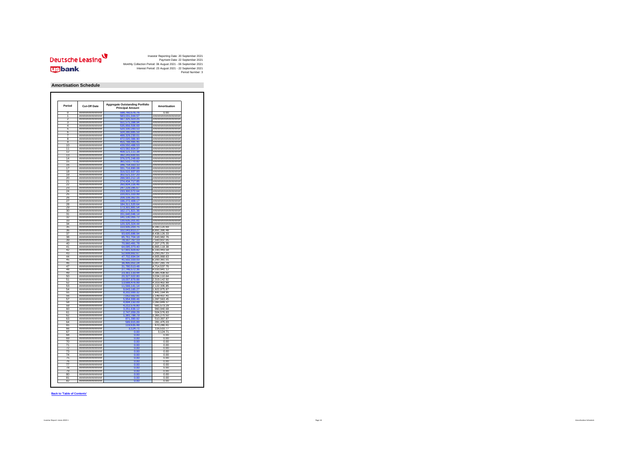

#### **Amortisation Schedule**

| n               | Cut-Off Date                         | <b>Aggregate Outstanding Portfolio</b><br><b>Principal Amount</b> | <b>Amortisation</b>         |
|-----------------|--------------------------------------|-------------------------------------------------------------------|-----------------------------|
|                 | *****************                    | 760,5                                                             | 0.00                        |
|                 | ###############                      | 583,031,044.5                                                     | <i>******************</i> * |
|                 | ****************                     | 323.2                                                             | ##################          |
| ٩               | ****************                     | 51,575,398.9                                                      | #################           |
| $\overline{4}$  | ***************                      | 56.5<br>06.6                                                      | #################           |
| Б               | ****************                     | 20,100,283.53                                                     | ##################          |
| 6               | ###############                      | 504,280,885.59                                                    | *******************         |
| 7               | ****************                     | ,329,230.01                                                       | ******************          |
| R               | ##############                       | 2.020.3                                                           | #################           |
| 9               | ##############                       | 455,788,495.45                                                    | #################           |
| 10              | ****************                     | 439.550.488.53                                                    | ###################         |
| 11              | ###############                      |                                                                   | #################           |
| 12              | ###############                      | 08.121.111.38                                                     | #################           |
| 13              | *****************                    | 92.243.600.65                                                     | ##################          |
| 14              | ###############                      |                                                                   | ******************          |
| 15              | ***************                      | 61.510.770.82                                                     | #################           |
| 16              | ****************                     | 346,754,5<br>33.10                                                | #################           |
| 17              | ###############                      | 331,716,890.08                                                    | ******************          |
| 18              | ****************                     | 316,522,937.83                                                    | ##################          |
| 19              | *****************                    | 302,521,107.20                                                    | #################           |
| 20              | ***************                      | 8,583,212.18                                                      | *******************         |
| 21              | *****************                    |                                                                   | #################           |
| $\overline{22}$ | ##############                       | 260,804,226.46                                                    | *******************         |
| 23              | ****************                     | 247,228,285.67                                                    | ###################         |
| 24              | ****************                     |                                                                   | *******************         |
| 25              | *****************                    | 220.815.333.99                                                    | #################           |
| 26              | ****************                     | 208,108,362.05                                                    | ###################         |
| 27              | *****************                    | 409.1<br>6,272                                                    | *******************         |
| 28              | ***************                      | 184,311,520.6                                                     | *******************         |
| 29              | ****************                     | 173,301,881.5                                                     | #################           |
| 30              | ###############                      | 171,821.36<br>16                                                  | ******************          |
| 31              | ****************                     | 151.640.046.14                                                    | ###################         |
| 32              | ****************                     | 141, 130, 355. 72                                                 | #################           |
| 33              | ***************                      | 130 635 201 81                                                    | #################           |
| 34              | ****************                     | 120,325,324.44                                                    | ###################         |
| 35              | *****************                    | 110,935,203.75                                                    | 9,390,120.69                |
| 36              | ###############                      | 102,043,813.21                                                    | 8,891,390.48                |
| 37              | ****************                     |                                                                   | 8,438,126.33                |
| 38              | *****************                    | 85,761,704,18                                                     | 7.843.982.76                |
| 39              | *****************                    | 78, 167, 767. 13                                                  | 7,593,937.05                |
| 40              | *****************                    | 70.960.491.78                                                     | ,207,275.<br>35             |
| 41              | ****************                     | 4.095.373.40                                                      | 6,865,118.38                |
| 42              | ****************                     | 57,901,929.82                                                     | 6,193,443.58                |
| 43              | *****************                    | 1608.662.67                                                       | 5,293,267.15                |
| AA              | *****************                    | 47.702.694.04                                                     | 4.905.968.63                |
| 45              | ****************                     | 41,502,333.03                                                     | 6,200,361.01                |
| 46              | ****************                     | 36 495 051 24                                                     | 5,007,281.79                |
| 47              | *****************                    | 31,780,513.48                                                     | 4,714,537.76                |
| 48              | *****************                    | 27 746 572 36                                                     | 4,033,941.12                |
| 49              | *****************                    | 3,361,133.4                                                       | 4,385,438.92                |
| 50              | *****************                    | n 327 022 i                                                       | 3,034,110.64                |
| 51              | ****************                     | 18,007,879.88                                                     | 2,319,142.92                |
| 52              | ****************                     | 13,688,476.99                                                     | 4.319.402.89                |
| 53              | ****************                     |                                                                   | 2,122,335.85                |
| 54              | *****************                    | 9.643.165.27                                                      | 1.922.975.87                |
| 55              | *****************                    | 8,202,000.32                                                      | 1,441,164.95                |
| 56              | *****************                    | 7,052,562.91                                                      | 1,149,437.41                |
| 57              | ###############                      | 5.954,999.46                                                      | 1,097,563.45                |
| 58              | ****************                     | 4,894,150.09                                                      | 1,060,849.37                |
| 59              | *****************                    | 4 212 576 80                                                      | 681.573.29                  |
| 60              | *****************                    | 251,636.12                                                        | 960,940.68                  |
| 61              | ****************                     | 2,747,059.29                                                      | 504,576.83                  |
| 62              | ****************                     | 1,381,788.79                                                      |                             |
| 63              | ###############                      |                                                                   | 1,365,270.50<br>510,397.87  |
|                 | ****************                     | 589,915.89                                                        | 281,475.03                  |
|                 | ****************                     | 119,635.48                                                        | 470,280.41                  |
| 64              | ****************                     |                                                                   | 116,510.77                  |
| 65              |                                      | 0.00                                                              | 3,124.71                    |
| 66              |                                      |                                                                   |                             |
| 67              | ****************                     |                                                                   |                             |
| 68              | ****************                     | 0.00                                                              | 0.00                        |
| 69              | ##############                       | 0.00                                                              | 0.00                        |
| 70              | ****************                     | 0.00                                                              | 0.00                        |
| 71              | ###############                      | 0.00                                                              | 0.00                        |
| 72              | *****************                    | 0.00                                                              | 0.00                        |
| 73              | *****************                    | n nn                                                              | 0.00                        |
| 74              | ****************                     | 0.00                                                              | 0.00                        |
| 75              | *****************                    | 0.00                                                              | 0.00                        |
| 76              | ##############                       | 0.00                                                              | 0.00                        |
| 77              | *****************                    | 0.00                                                              | 0.00                        |
| 78              | ***************                      | n nn                                                              | 0.00                        |
| 70              | ###############                      |                                                                   | 0.00                        |
| 80<br>81        | ****************<br>**************** | 0.QU<br>0.00                                                      | 0.00<br>0.00                |

#### **Back to 'Table of Contents'**

Investor Report: Limes 2019-1 Page 14 Amortisation Schedule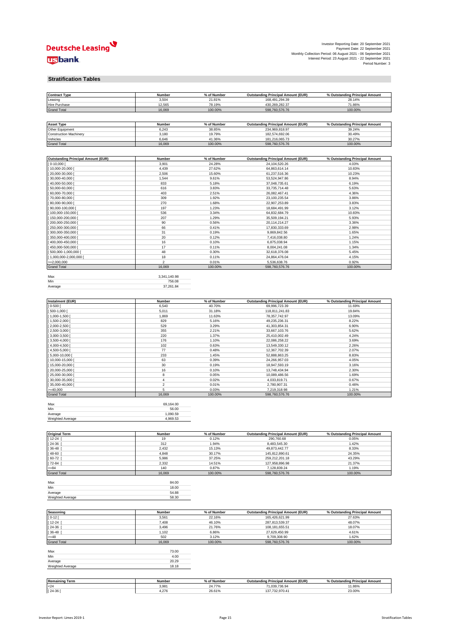

| Investor Reporting Date: 20 September 2021                    |
|---------------------------------------------------------------|
| Payment Date: 22 September 2021                               |
| Monthly Collection Period: 06 August 2021 - 06 September 2021 |
| Interest Period: 23 August 2021 - 22 September 2021           |
| Period Number: 3                                              |

#### **Stratification Tables**

| <b>Contract Type</b>                      | Number         | % of Number      | <b>Outstanding Principal Amount (EUR)</b> | % Outstanding Principal Amount |
|-------------------------------------------|----------------|------------------|-------------------------------------------|--------------------------------|
| Leasing                                   | 3,504          | 21.81%           | 168,491,294.39                            | 28.14%                         |
| Hire Purchase                             | 12,565         | 78.19%           | 430,269,282.37                            | 71.86%                         |
| <b>Grand Total</b>                        | 16,069         | 100.00%          | 598,760,576.76                            | 100.00%                        |
|                                           |                |                  |                                           |                                |
|                                           |                |                  |                                           |                                |
| <b>Asset Type</b>                         | Number         | % of Number      | <b>Outstanding Principal Amount (EUR)</b> | % Outstanding Principal Amount |
| Other Equipment                           | 6,243          | 38.85%           | 234,969,818.97                            | 39.24%                         |
| <b>Construction Machinery</b>             | 3,180          | 19.79%           | 182,574,692.06                            | 30.49%                         |
| Vehicles                                  | 6,646          | 41.36%           | 181,216,065.73                            | 30.27%                         |
| <b>Grand Total</b>                        | 16,069         | 100.00%          | 598,760,576.76                            | 100.00%                        |
|                                           |                |                  |                                           |                                |
| <b>Outstanding Principal Amount (EUR)</b> | Number         | % of Number      | <b>Outstanding Principal Amount (EUR)</b> | % Outstanding Principal Amount |
| $0-10,000$                                | 3,901          | 24.28%           | 24,104,520.26                             | 4.03%                          |
| 10,000-20,000                             | 4,439          | 27.62%           | 64,863,614.14                             | 10.83%                         |
| 20,000-30,000                             | 2,506          | 15.60%           | 61,237,516.36                             | 10.23%                         |
| 30,000-40,000 [                           | 1,544          | 9.61%            | 53,524,947.86                             | 8.94%                          |
| 40,000-50,000                             | 833            | 5.18%            | 37,048,735.61                             | 6.19%                          |
| 50,000-60,000                             | 616            | 3.83%            | 33,735,714.48                             | 5.63%                          |
| 60,000-70,000                             | 403            | 2.51%            | 26,082,467.41                             | 4.36%                          |
| 70,000-80,000                             | 309            | 1.92%            | 23,100,235.54                             | 3.86%                          |
| 80,000-90,000                             | 270            | 1.68%            | 22,907,253.89                             | 3.83%                          |
| 90,000-100,000                            | 197            | 1.23%            | 18,684,491.99                             | 3.12%                          |
| 100,000-150,000                           | 536            | 3.34%            | 64,832,684.79                             | 10.83%                         |
| 150,000-200,000                           | 207            | 1.29%            | 35,509,194.21                             | 5.93%                          |
| 200,000-250,000                           | 90             | 0.56%            | 20,114,214.27                             | 3.36%                          |
| 250,000-300,000                           | 66             | 0.41%            | 17,830,333.69                             | 2.98%                          |
| 300,000-350,000                           | 31             | 0.19%            | 9,869,842.56                              | 1.65%                          |
| 350,000-400,000                           | 20             | 0.12%            | 7,416,038.80                              | 1.24%                          |
| 400,000-450,000                           | 16             | 0.10%            | 6,875,038.94                              | 1.15%                          |
| 450,000-500,000                           | 17             | 0.11%            | 8,004,241.08                              | 1.34%                          |
| 500,000-1,000,000                         | 48             | 0.30%            | 32,618,376.08                             | 5.45%                          |
| 1,000,000-2,000,000                       | 18             | 0.11%            | 24,864,476.04                             | 4.15%                          |
| $=2,000,000$                              | $\overline{2}$ | 0.01%            | 5,536,638.76                              | 0.92%                          |
| <b>Grand Total</b>                        | 16,069         | 100.00%          | 598,760,576.76                            | 100.00%                        |
|                                           |                |                  |                                           |                                |
| Max                                       | 3,341,140.98   |                  |                                           |                                |
| Min                                       | 756.08         |                  |                                           |                                |
| Average                                   | 37,261.84      |                  |                                           |                                |
|                                           |                |                  |                                           |                                |
| <b>Instalment (EUR)</b>                   | Number         | % of Number      | <b>Outstanding Principal Amount (EUR)</b> | % Outstanding Principal Amount |
| $0 - 500$                                 | 6,540          | 40.70%           | 69,996,723.39                             | 11.69%                         |
| 500-1,000                                 | 5,011          | 31.18%           | 118,811,241.83                            | 19.84%                         |
| 1,000-1,500                               | 1,869          | 11.63%           | 78, 357, 742. 97                          | 13.09%                         |
| 1,500-2,000                               | 829            | 5.16%            | 49,235,236.31                             | 8.22%                          |
| 2,000-2,500                               | 529            | 3.29%            | 41,303,854.31                             | 6.90%                          |
| $[2,500-3,000]$                           | 355            | 2.21%            | 33,667,103.76                             | 5.62%                          |
| 3,000-3,500                               | 220            | 1.37%            | 25,410,002.49                             | 4.24%                          |
| $3,500-4,000$                             | 176            | 1.10%            | 22,086,258.22                             | 3.69%                          |
| 4,000-4,500                               | 102            | 0.63%            | 13,549,330.12                             | 2.26%                          |
| 4,500-5,000                               | 77             | 0.48%            | 12,367,702.39                             | 2.07%                          |
| 5,000-10,000                              | 233            | 1.45%            | 52,888,863.25                             | 8.83%                          |
| 10,000-15,000                             | 63             | 0.39%            | 24,266,957.03                             | 4.05%                          |
| 15,000-20,000                             | 30             | 0.19%            | 18,947,593.19                             | 3.16%                          |
| 20,000-25,000                             | 16             | 0.10%            | 13,748,434.94                             | 2.30%                          |
| 25,000-30,000                             | 8              | 0.05%            | 10,089,486.56                             | 1.69%                          |
| 30,000-35,000                             | $\overline{4}$ | 0.02%            | 4,033,819.71                              | 0.67%                          |
| 35,000-40,000                             | $\sqrt{2}$     | 0.01%            | 2,780,907.31                              | 0.46%                          |
| $>= 40,000$                               | 5              | 0.03%            | 7,219,318.98                              | 1.21%                          |
| <b>Grand Total</b>                        | 16,069         | 100.00%          | 598,760,576.76                            | 100.00%                        |
|                                           |                |                  |                                           |                                |
| Max                                       | 69,164.00      |                  |                                           |                                |
| Min                                       | 56.00          |                  |                                           |                                |
| Average                                   | 1,090.59       |                  |                                           |                                |
| Weighted Average                          | 4,969.53       |                  |                                           |                                |
|                                           |                |                  |                                           |                                |
| <b>Original Term</b>                      | Number         | % of Number      | <b>Outstanding Principal Amount (EUR)</b> | % Outstanding Principal Amount |
| 12-24                                     | 19             | 0.12%            | 290,760.68                                | 0.05%                          |
| 24-36                                     | 312            | 1.94%            | 8,483,545.30                              | 1.42%                          |
| 36-48                                     | 2,432          | 15.13%           | 49,873,442.77                             | 8.33%                          |
| 48-60                                     | 4,848          | 30.17%           | 145,812,890.61                            | 24.35%                         |
| 60-72                                     | 5,986          | 37.25%           | 259,212,201.18                            | 43.29%                         |
| 72-84                                     | 2,332          | 14.51%           | 127,958,896.98                            | 21.37%                         |
| $>= 84$                                   | 140            | 0.87%            | 7,128,839.24                              | 1.19%                          |
| <b>Grand Total</b>                        | 16,069         | 100.00%          | 598,760,576.76                            | 100.00%                        |
|                                           |                |                  |                                           |                                |
| Max                                       | 84.00          |                  |                                           |                                |
| Min                                       | 18.00          |                  |                                           |                                |
| Average                                   | 54.88          |                  |                                           |                                |
| Weighted Average                          | 58.30          |                  |                                           |                                |
|                                           |                |                  |                                           |                                |
|                                           |                |                  |                                           | % Outstanding Principal Amount |
| Seasoning                                 | Number         | % of Number      | <b>Outstanding Principal Amount (EUR)</b> |                                |
| $0 - 12$ [                                | 3,561          | 22.16%           | 165,426,621.99<br>287,813,539.37          | 27.63%                         |
| 12-24                                     | 7,408          | 46.10%           |                                           | 48.07%                         |
| 24-36<br>36-48                            | 3,496          | 21.76%           | 108,181,655.51                            | 18.07%                         |
| $>= 48$                                   | 1,102<br>502   | 6.86%<br>3.12%   | 27,629,450.99<br>9,709,308.90             | 4.61%<br>1.62%                 |
| <b>Grand Total</b>                        | 16,069         | 100.00%          | 598,760,576.76                            | 100.00%                        |
|                                           |                |                  |                                           |                                |
| Max                                       | 73.00          |                  |                                           |                                |
| Min                                       | 4.00           |                  |                                           |                                |
| Average                                   | 20.29          |                  |                                           |                                |
| Weighted Average                          | 18.18          |                  |                                           |                                |
|                                           |                |                  |                                           |                                |
|                                           |                |                  |                                           |                                |
| <b>Remaining Term</b>                     | Number         | % of Number      | <b>Outstanding Principal Amount (EUR)</b> | % Outstanding Principal Amount |
| $24$<br>$[24-36]$                         | 3,981<br>4,276 | 24.77%<br>26.61% | 71,039,736.94<br>137,732,970.41           | 11.86%<br>23.00%               |
|                                           |                |                  |                                           |                                |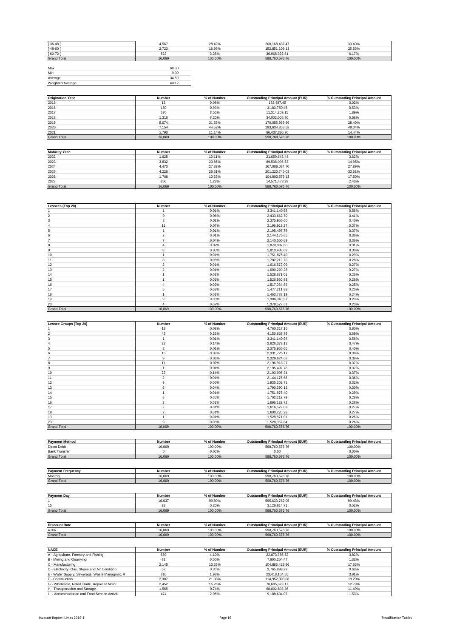| 4,567  | 28.42%  | 200, 168, 437. 47 | 33.43%  |
|--------|---------|-------------------|---------|
| 2,723  | 16.95%  | 152,851,109.13    | 25.53%  |
| 522    | 3.25%   | 36,968,322.81     | 6.17%   |
| 16,069 | 100.00% | 598,760,576.76    | 100.00% |
|        |         |                   |         |
| 68.00  |         |                   |         |
| 9.00   |         |                   |         |
| 34.59  |         |                   |         |
| 40.12  |         |                   |         |
|        |         |                   |         |

| <b>Origination Year</b> | Number | % of Number | <b>Outstanding Principal Amount (EUR)</b> | % Outstanding Principal Amount |
|-------------------------|--------|-------------|-------------------------------------------|--------------------------------|
| 2015                    | 13     | 0.08%       | 132.487.45                                | 0.02%                          |
| 2016                    | 150    | 0.93%       | 3.183.750.46                              | 0.53%                          |
| 2017                    | 570    | 3.55%       | 11.314.209.15                             | 1.89%                          |
| 2018                    | 1.318  | 8.20%       | 34,002,005.80                             | 5.68%                          |
| 2019                    | 5.074  | 31.58%      | 170.055.939.96                            | 28.40%                         |
| 2020                    | 7.154  | 44.52%      | 293,634,853.58                            | 49.04%                         |
| 2021                    | 1.790  | 11.14%      | 86.437.330.36                             | 14.44%                         |
| <b>Grand Total</b>      | 16,069 | 100.00%     | 598,760,576,76                            | 100.00%                        |

| <b>Maturity Year</b> | Number | % of Number | <b>Outstanding Principal Amount (EUR)</b> | % Outstanding Principal Amount |
|----------------------|--------|-------------|-------------------------------------------|--------------------------------|
| 2022                 | 1.625  | 10.11%      | 21.650.642.44                             | 3.62%                          |
| 2023                 | 3.832  | 23.85%      | 89.508.096.53                             | 14.95%                         |
| 2024                 | 4.470  | 27.82%      | 167.006.034.70                            | 27.89%                         |
| 2025                 | 4.228  | 26.31%      | 201.220.745.03                            | 33.61%                         |
| 2026                 | 1.708  | 10.63%      | 104.803.579.13                            | 17.50%                         |
| 2027                 | 206    | 1.28%       | 14,571,478.93                             | 2.43%                          |
| <b>Grand Total</b>   | 16.069 | 100.00%     | 598.760.576.76                            | 100.00%                        |

| Lessees (Top 20)   | Number         | % of Number | <b>Outstanding Principal Amount (EUR)</b> | % Outstanding Principal Amount |
|--------------------|----------------|-------------|-------------------------------------------|--------------------------------|
|                    |                | 0.01%       | 3,341,140.98                              | 0.56%                          |
| 2                  | 9              | 0.06%       | 2,433,662.70                              | 0.41%                          |
| 3                  | $\overline{2}$ | 0.01%       | 2,375,955.60                              | 0.40%                          |
|                    | 11             | 0.07%       | 2,196,918.27                              | 0.37%                          |
| 5                  |                | 0.01%       | 2,195,497.78                              | 0.37%                          |
| 6                  | $\overline{2}$ | 0.01%       | 2,144,176.66                              | 0.36%                          |
|                    | ٠              | 0.04%       | 2,140,550.69                              | 0.36%                          |
| 8                  | 4              | 0.02%       | 1,870,387.60                              | 0.31%                          |
| 9                  |                | 0.05%       | 1,810,433.03                              | 0.30%                          |
| 10                 |                | 0.01%       | 1,751,875.40                              | 0.29%                          |
| 11                 | 8              | 0.05%       | 1,702,212.79                              | 0.28%                          |
| 12                 | $\overline{2}$ | 0.01%       | 1,616,572.09                              | 0.27%                          |
| 13                 | $\mathfrak{p}$ | 0.01%       | 1,600,220.28                              | 0.27%                          |
| 14                 |                | 0.01%       | 1,528,871.01                              | 0.26%                          |
| 15                 |                | 0.01%       | 1,526,930.88                              | 0.26%                          |
| 16                 |                | 0.02%       | 1,517,034.89                              | 0.25%                          |
| 17                 | 5              | 0.03%       | 1,477,211.88                              | 0.25%                          |
| 18                 |                | 0.01%       | 1,463,788.19                              | 0.24%                          |
| 19                 | 9              | 0.06%       | 1,386,340.37                              | 0.23%                          |
| 20                 | $\Delta$       | 0.02%       | 1,379,572.61                              | 0.23%                          |
| <b>Grand Total</b> | 16,069         | 100.00%     | 598,760,576.76                            | 100.00%                        |

| Lessee Groups (Top 20) | Number         | % of Number | <b>Outstanding Principal Amount (EUR)</b> | % Outstanding Principal Amount |
|------------------------|----------------|-------------|-------------------------------------------|--------------------------------|
|                        | 13             | 0.08%       | 4,760,317.16                              | 0.80%                          |
| $\overline{2}$         | 42             | 0.26%       | 4,150,638.79                              | 0.69%                          |
| 3                      |                | 0.01%       | 3,341,140.98                              | 0.56%                          |
| 4                      | 22             | 0.14%       | 2,826,378.12                              | 0.47%                          |
| 5                      | $\overline{2}$ | 0.01%       | 2,375,955.60                              | 0.40%                          |
| 6                      | 15             | 0.09%       | 2,331,725.17                              | 0.39%                          |
|                        | 9              | 0.06%       | 2,329,624.68                              | 0.39%                          |
| 8                      | 11             | 0.07%       | 2,196,918.27                              | 0.37%                          |
| 9                      |                | 0.01%       | 2,195,497.78                              | 0.37%                          |
| 10                     | 22             | 0.14%       | 2,193,995.34                              | 0.37%                          |
| 11                     | $\overline{2}$ | 0.01%       | 2,144,176.66                              | 0.36%                          |
| 12                     | 9              | 0.06%       | 1,935,202.71                              | 0.32%                          |
| 13                     | 6              | 0.04%       | 1,790,390.12                              | 0.30%                          |
| 14                     |                | 0.01%       | 1,751,875.40                              | 0.29%                          |
| 15                     | 8              | 0.05%       | 1,702,212.79                              | 0.28%                          |
| 16                     | $\mathfrak{p}$ | 0.01%       | 1,696,132.72                              | 0.28%                          |
| 17                     | $\overline{2}$ | 0.01%       | 1,616,572.09                              | 0.27%                          |
| 18                     | $\overline{2}$ | 0.01%       | 1,600,220.28                              | 0.27%                          |
| 19                     |                | 0.01%       | 1,528,871.01                              | 0.26%                          |
| 20                     | 9              | 0.06%       | 1,528,067.84                              | 0.26%                          |
| <b>Grand Total</b>     | 16,069         | 100.00%     | 598,760,576.76                            | 100.00%                        |

| <b>Payment Method</b>    | <b>Number</b> | % of Number | <b>Outstanding Principal Amount (EUR)</b> | % Outstanding Principal Amount |
|--------------------------|---------------|-------------|-------------------------------------------|--------------------------------|
| <b>Direct Debit</b>      | 16.069        | 100.00%     | 598.760.576.76                            | 100.00%                        |
| <b>Bank Transfer</b>     |               | $0.00\%$    | 0.00                                      | 0.00%                          |
| <b>Grand Total</b>       | 16,069        | 100.00%     | 598.760.576.76                            | 100.00%                        |
|                          |               |             |                                           |                                |
|                          |               |             |                                           |                                |
| <b>Payment Frequency</b> | Number        | % of Number | <b>Outstanding Principal Amount (EUR)</b> | % Outstanding Principal Amount |

Monthly 16,069 100.00% 598,760,576.76 100.00% Grand Total 16,069 100.00% 598,760,576.76 100.00%

| <b>Payment Day</b>   | Number | % of Number | <b>Outstanding Principal Amount (EUR)</b> | % Outstanding Principal Amount |
|----------------------|--------|-------------|-------------------------------------------|--------------------------------|
|                      | 16,037 | 99.80%      | 595,633,762.05                            | 99.48%                         |
| 15                   | 32     | 0.20%       | 3.126.814.71                              | 0.52%                          |
| <b>Grand Total</b>   | 16.069 | 100.00%     | 598,760,576.76                            | 100.00%                        |
|                      |        |             |                                           |                                |
| <b>Discount Rate</b> | Number | % of Number | <b>Outstanding Principal Amount (EUR)</b> | % Outstanding Principal Amount |
| 4.0%                 | 16.069 | 100.00%     | 598.760.576.76                            | 100.00%                        |
| <b>Grand Total</b>   | 16,069 | 100.00%     | 598,760,576.76                            | 100.00%                        |

| <b>NACE</b>                                   | <b>Number</b> | % of Number | <b>Outstanding Principal Amount (EUR)</b> | % Outstanding Principal Amount |
|-----------------------------------------------|---------------|-------------|-------------------------------------------|--------------------------------|
| A - Agriculture, Forestry and Fishing         | 659           | 4.10%       | 22.873.756.52                             | 3.82%                          |
| B - Mining and Quarrying                      | 81            | 0.50%       | 7.900.254.47                              | 1.32%                          |
| C - Manufacturing                             | 2.145         | 13.35%      | 104.886.423.86                            | 17.52%                         |
| D - Electricity, Gas, Steam and Air Condition | 57            | 0.35%       | 3.765.898.29                              | 0.63%                          |
| E - Water Supply; Sewerage, Waste Managmnt, R | 310           | 1.93%       | 23.418.104.55                             | 3.91%                          |
| F - Construction                              | 3.387         | 21.08%      | 114.952.303.08                            | 19.20%                         |
| G - Wholesale, Retail Trade, Repair of Motor  | 2.452         | 15.26%      | 76.605.373.17                             | 12.79%                         |
| H - Transportation and Storage                | 1.565         | 9.74%       | 68.802.693.36                             | 11.49%                         |
| - Accommodation and Food Service Activiti     | 474           | 2.95%       | 9.188.604.07                              | 1.53%                          |

П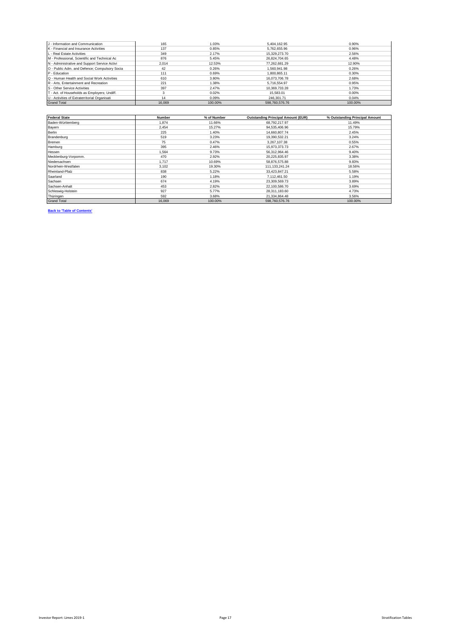| J - Information and Communication             | 165    | 1.03%   | 5.404.162.95   | 0.90%   |
|-----------------------------------------------|--------|---------|----------------|---------|
| K - Financial and Insurance Activities        | 137    | 0.85%   | 5.762.655.96   | 0.96%   |
| L - Real Estate Activities                    | 349    | 2.17%   | 15.329.273.70  | 2.56%   |
| M - Professional, Scientific and Technical Ac | 876    | 5.45%   | 26.824.704.65  | 4.48%   |
| N - Administrative and Support Service Activi | 2.014  | 12.53%  | 77.262.681.29  | 12.90%  |
| O - Public Adm. and Defence; Compulsory Socia | 42     | 0.26%   | 1.560.941.98   | 0.26%   |
| P - Education                                 | 111    | 0.69%   | 1.800.865.11   | 0.30%   |
| Q - Human Health and Social Work Activities   | 610    | 3.80%   | 16.073.706.78  | 2.68%   |
| R - Arts. Entertainment and Recreation        | 221    | 1.38%   | 5.716.554.97   | 0.95%   |
| S - Other Service Activities                  | 397    | 2.47%   | 10.369.733.28  | 1.73%   |
| T - Act. of Households as Employers; Undiff.  |        | 0.02%   | 15,583.01      | 0.00%   |
| U - Activities of Extraterritorial Organisati | 14     | 0.09%   | 246.301.71     | 0.04%   |
| <b>Grand Total</b>                            | 16,069 | 100.00% | 598,760,576,76 | 100.00% |

| <b>Federal State</b> | Number | % of Number | <b>Outstanding Principal Amount (EUR)</b> | % Outstanding Principal Amount |
|----------------------|--------|-------------|-------------------------------------------|--------------------------------|
| Baden-Württemberg    | 1.874  | 11.66%      | 68,792,217.97                             | 11.49%                         |
| Bayern               | 2.454  | 15.27%      | 94,535,406.96                             | 15.79%                         |
| Berlin               | 225    | 1.40%       | 14,660,807.74                             | 2.45%                          |
| Brandenburg          | 519    | 3.23%       | 19,390,532.21                             | 3.24%                          |
| Bremen               | 75     | 0.47%       | 3.267.107.38                              | 0.55%                          |
| Hamburg              | 395    | 2.46%       | 15.973.373.73                             | 2.67%                          |
| Hessen               | 1,564  | 9.73%       | 56,312,964.46                             | 9.40%                          |
| Mecklenburg-Vorpomm. | 470    | 2.92%       | 20,225,835.97                             | 3.38%                          |
| Niedersachsen        | 1.717  | 10.69%      | 58,876,575.88                             | 9.83%                          |
| Nordrhein-Westfalen  | 3.102  | 19.30%      | 111.133.241.24                            | 18.56%                         |
| Rheinland-Pfalz      | 838    | 5.22%       | 33,423,847.21                             | 5.58%                          |
| Saarland             | 190    | 1.18%       | 7,112,461.50                              | 1.19%                          |
| Sachsen              | 674    | 4.19%       | 23,309,569.73                             | 3.89%                          |
| Sachsen-Anhalt       | 453    | 2.82%       | 22,100,586.70                             | 3.69%                          |
| Schleswig-Holstein   | 927    | 5.77%       | 28,311,183.60                             | 4.73%                          |
| Thüringen            | 592    | 3.68%       | 21,334,864.48                             | 3.56%                          |
| <b>Grand Total</b>   | 16,069 | 100.00%     | 598,760,576.76                            | 100.00%                        |